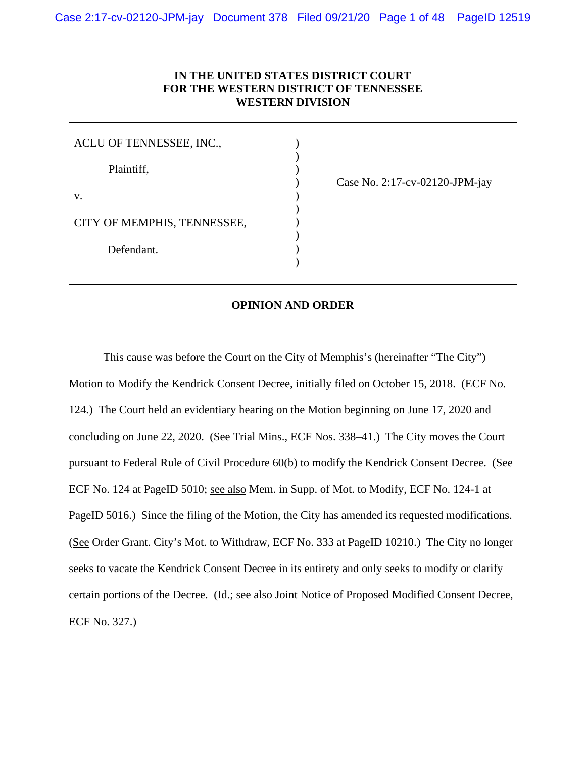# **IN THE UNITED STATES DISTRICT COURT FOR THE WESTERN DISTRICT OF TENNESSEE WESTERN DIVISION**

) ) )

) ) ) ) )

| ACLU OF TENNESSEE, INC.,    |  |
|-----------------------------|--|
| Plaintiff,                  |  |
| V.                          |  |
| CITY OF MEMPHIS, TENNESSEE, |  |
| Defendant.                  |  |
|                             |  |

) Case No. 2:17-cv-02120-JPM-jay

## **OPINION AND ORDER**

This cause was before the Court on the City of Memphis's (hereinafter "The City") Motion to Modify the Kendrick Consent Decree, initially filed on October 15, 2018. (ECF No. 124.) The Court held an evidentiary hearing on the Motion beginning on June 17, 2020 and concluding on June 22, 2020. (See Trial Mins., ECF Nos. 338–41.) The City moves the Court pursuant to Federal Rule of Civil Procedure 60(b) to modify the Kendrick Consent Decree. (See ECF No. 124 at PageID 5010; see also Mem. in Supp. of Mot. to Modify, ECF No. 124-1 at PageID 5016.) Since the filing of the Motion, the City has amended its requested modifications. (See Order Grant. City's Mot. to Withdraw, ECF No. 333 at PageID 10210.) The City no longer seeks to vacate the Kendrick Consent Decree in its entirety and only seeks to modify or clarify certain portions of the Decree. (Id.; see also Joint Notice of Proposed Modified Consent Decree, ECF No. 327.)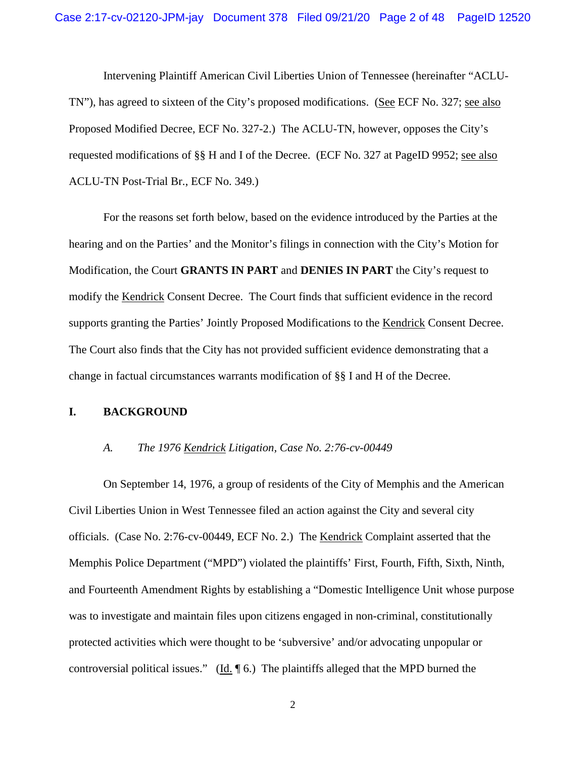Intervening Plaintiff American Civil Liberties Union of Tennessee (hereinafter "ACLU-TN"), has agreed to sixteen of the City's proposed modifications. (See ECF No. 327; see also Proposed Modified Decree, ECF No. 327-2.) The ACLU-TN, however, opposes the City's requested modifications of §§ H and I of the Decree. (ECF No. 327 at PageID 9952; see also ACLU-TN Post-Trial Br., ECF No. 349.)

For the reasons set forth below, based on the evidence introduced by the Parties at the hearing and on the Parties' and the Monitor's filings in connection with the City's Motion for Modification, the Court **GRANTS IN PART** and **DENIES IN PART** the City's request to modify the Kendrick Consent Decree. The Court finds that sufficient evidence in the record supports granting the Parties' Jointly Proposed Modifications to the Kendrick Consent Decree. The Court also finds that the City has not provided sufficient evidence demonstrating that a change in factual circumstances warrants modification of §§ I and H of the Decree.

#### **I. BACKGROUND**

## *A. The 1976 Kendrick Litigation, Case No. 2:76-cv-00449*

On September 14, 1976, a group of residents of the City of Memphis and the American Civil Liberties Union in West Tennessee filed an action against the City and several city officials. (Case No. 2:76-cv-00449, ECF No. 2.) The Kendrick Complaint asserted that the Memphis Police Department ("MPD") violated the plaintiffs' First, Fourth, Fifth, Sixth, Ninth, and Fourteenth Amendment Rights by establishing a "Domestic Intelligence Unit whose purpose was to investigate and maintain files upon citizens engaged in non-criminal, constitutionally protected activities which were thought to be 'subversive' and/or advocating unpopular or controversial political issues." (Id. ¶ 6.) The plaintiffs alleged that the MPD burned the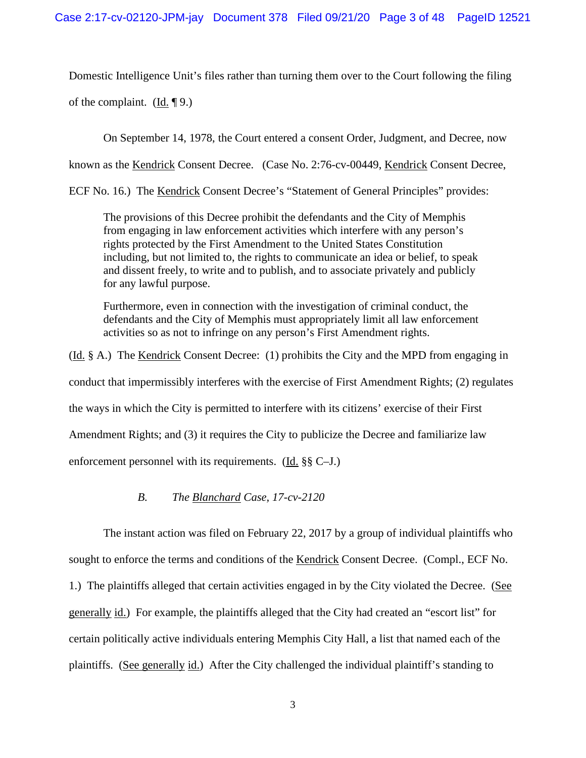Domestic Intelligence Unit's files rather than turning them over to the Court following the filing of the complaint. (Id.  $\P$ 9.)

On September 14, 1978, the Court entered a consent Order, Judgment, and Decree, now

known as the **Kendrick Consent Decree.** (Case No. 2:76-cv-00449, Kendrick Consent Decree,

ECF No. 16.) The Kendrick Consent Decree's "Statement of General Principles" provides:

The provisions of this Decree prohibit the defendants and the City of Memphis from engaging in law enforcement activities which interfere with any person's rights protected by the First Amendment to the United States Constitution including, but not limited to, the rights to communicate an idea or belief, to speak and dissent freely, to write and to publish, and to associate privately and publicly for any lawful purpose.

Furthermore, even in connection with the investigation of criminal conduct, the defendants and the City of Memphis must appropriately limit all law enforcement activities so as not to infringe on any person's First Amendment rights.

(Id. § A.) The Kendrick Consent Decree: (1) prohibits the City and the MPD from engaging in conduct that impermissibly interferes with the exercise of First Amendment Rights; (2) regulates the ways in which the City is permitted to interfere with its citizens' exercise of their First Amendment Rights; and (3) it requires the City to publicize the Decree and familiarize law enforcement personnel with its requirements. (Id. §§ C–J.)

# *B. The Blanchard Case, 17-cv-2120*

The instant action was filed on February 22, 2017 by a group of individual plaintiffs who sought to enforce the terms and conditions of the Kendrick Consent Decree. (Compl., ECF No. 1.) The plaintiffs alleged that certain activities engaged in by the City violated the Decree. (See generally id.) For example, the plaintiffs alleged that the City had created an "escort list" for certain politically active individuals entering Memphis City Hall, a list that named each of the plaintiffs. (See generally id.) After the City challenged the individual plaintiff's standing to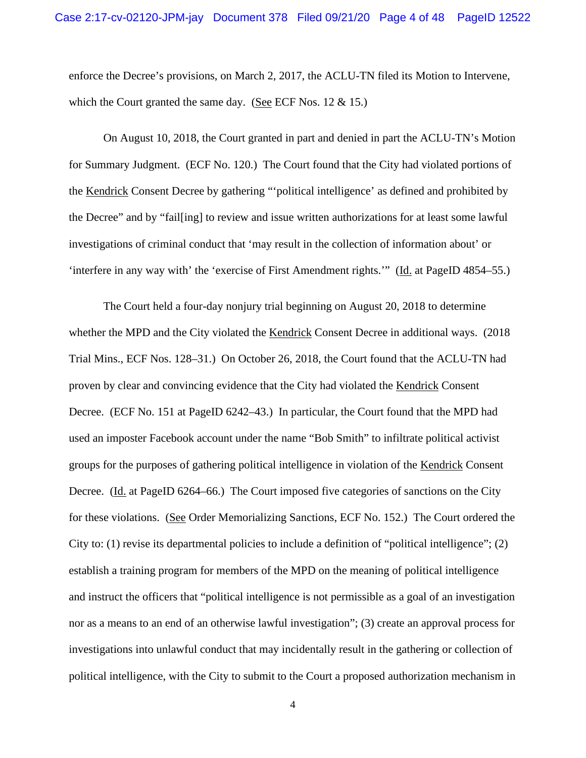enforce the Decree's provisions, on March 2, 2017, the ACLU-TN filed its Motion to Intervene, which the Court granted the same day. (See ECF Nos. 12 & 15.)

On August 10, 2018, the Court granted in part and denied in part the ACLU-TN's Motion for Summary Judgment. (ECF No. 120.) The Court found that the City had violated portions of the Kendrick Consent Decree by gathering "'political intelligence' as defined and prohibited by the Decree" and by "fail[ing] to review and issue written authorizations for at least some lawful investigations of criminal conduct that 'may result in the collection of information about' or 'interfere in any way with' the 'exercise of First Amendment rights.'" (Id. at PageID 4854–55.)

The Court held a four-day nonjury trial beginning on August 20, 2018 to determine whether the MPD and the City violated the Kendrick Consent Decree in additional ways. (2018 Trial Mins., ECF Nos. 128–31.) On October 26, 2018, the Court found that the ACLU-TN had proven by clear and convincing evidence that the City had violated the Kendrick Consent Decree. (ECF No. 151 at PageID 6242–43.) In particular, the Court found that the MPD had used an imposter Facebook account under the name "Bob Smith" to infiltrate political activist groups for the purposes of gathering political intelligence in violation of the Kendrick Consent Decree. (Id. at PageID 6264–66.) The Court imposed five categories of sanctions on the City for these violations. (See Order Memorializing Sanctions, ECF No. 152.) The Court ordered the City to: (1) revise its departmental policies to include a definition of "political intelligence"; (2) establish a training program for members of the MPD on the meaning of political intelligence and instruct the officers that "political intelligence is not permissible as a goal of an investigation nor as a means to an end of an otherwise lawful investigation"; (3) create an approval process for investigations into unlawful conduct that may incidentally result in the gathering or collection of political intelligence, with the City to submit to the Court a proposed authorization mechanism in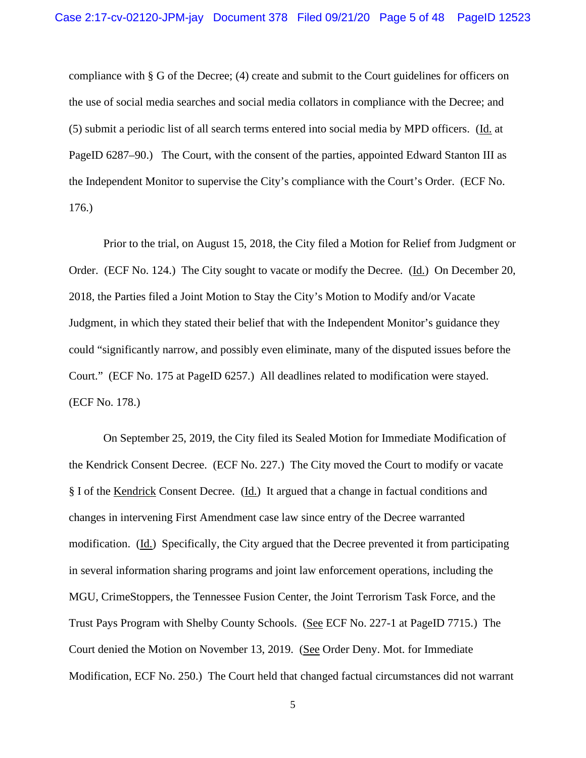compliance with § G of the Decree; (4) create and submit to the Court guidelines for officers on the use of social media searches and social media collators in compliance with the Decree; and (5) submit a periodic list of all search terms entered into social media by MPD officers. (Id. at PageID 6287–90.) The Court, with the consent of the parties, appointed Edward Stanton III as the Independent Monitor to supervise the City's compliance with the Court's Order. (ECF No. 176.)

Prior to the trial, on August 15, 2018, the City filed a Motion for Relief from Judgment or Order. (ECF No. 124.) The City sought to vacate or modify the Decree. (Id.) On December 20, 2018, the Parties filed a Joint Motion to Stay the City's Motion to Modify and/or Vacate Judgment, in which they stated their belief that with the Independent Monitor's guidance they could "significantly narrow, and possibly even eliminate, many of the disputed issues before the Court." (ECF No. 175 at PageID 6257.) All deadlines related to modification were stayed. (ECF No. 178.)

On September 25, 2019, the City filed its Sealed Motion for Immediate Modification of the Kendrick Consent Decree. (ECF No. 227.) The City moved the Court to modify or vacate § I of the Kendrick Consent Decree. (Id.) It argued that a change in factual conditions and changes in intervening First Amendment case law since entry of the Decree warranted modification. (Id.) Specifically, the City argued that the Decree prevented it from participating in several information sharing programs and joint law enforcement operations, including the MGU, CrimeStoppers, the Tennessee Fusion Center, the Joint Terrorism Task Force, and the Trust Pays Program with Shelby County Schools. (See ECF No. 227-1 at PageID 7715.) The Court denied the Motion on November 13, 2019. (See Order Deny. Mot. for Immediate Modification, ECF No. 250.) The Court held that changed factual circumstances did not warrant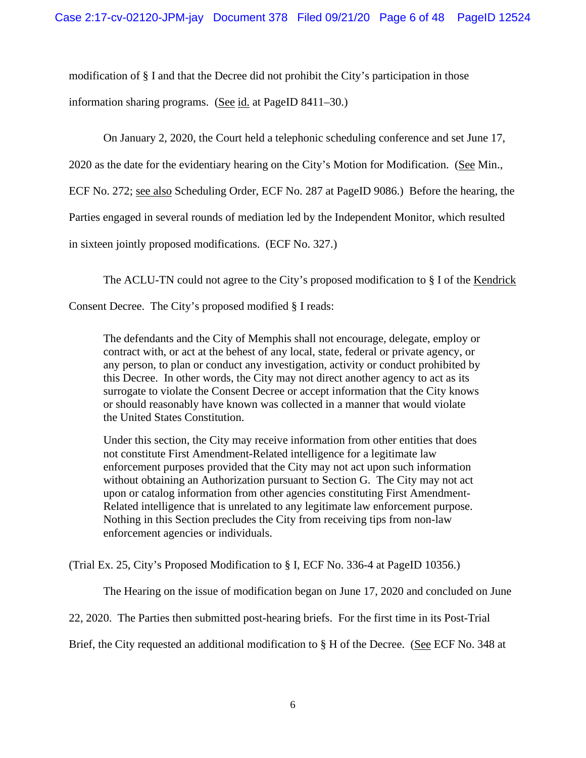modification of § I and that the Decree did not prohibit the City's participation in those information sharing programs. (See id. at PageID 8411–30.)

On January 2, 2020, the Court held a telephonic scheduling conference and set June 17,

2020 as the date for the evidentiary hearing on the City's Motion for Modification. (See Min.,

ECF No. 272; see also Scheduling Order, ECF No. 287 at PageID 9086.) Before the hearing, the

Parties engaged in several rounds of mediation led by the Independent Monitor, which resulted

in sixteen jointly proposed modifications. (ECF No. 327.)

The ACLU-TN could not agree to the City's proposed modification to § I of the Kendrick

Consent Decree. The City's proposed modified § I reads:

The defendants and the City of Memphis shall not encourage, delegate, employ or contract with, or act at the behest of any local, state, federal or private agency, or any person, to plan or conduct any investigation, activity or conduct prohibited by this Decree. In other words, the City may not direct another agency to act as its surrogate to violate the Consent Decree or accept information that the City knows or should reasonably have known was collected in a manner that would violate the United States Constitution.

Under this section, the City may receive information from other entities that does not constitute First Amendment-Related intelligence for a legitimate law enforcement purposes provided that the City may not act upon such information without obtaining an Authorization pursuant to Section G. The City may not act upon or catalog information from other agencies constituting First Amendment-Related intelligence that is unrelated to any legitimate law enforcement purpose. Nothing in this Section precludes the City from receiving tips from non-law enforcement agencies or individuals.

(Trial Ex. 25, City's Proposed Modification to § I, ECF No. 336-4 at PageID 10356.)

The Hearing on the issue of modification began on June 17, 2020 and concluded on June

22, 2020. The Parties then submitted post-hearing briefs. For the first time in its Post-Trial

Brief, the City requested an additional modification to § H of the Decree. (See ECF No. 348 at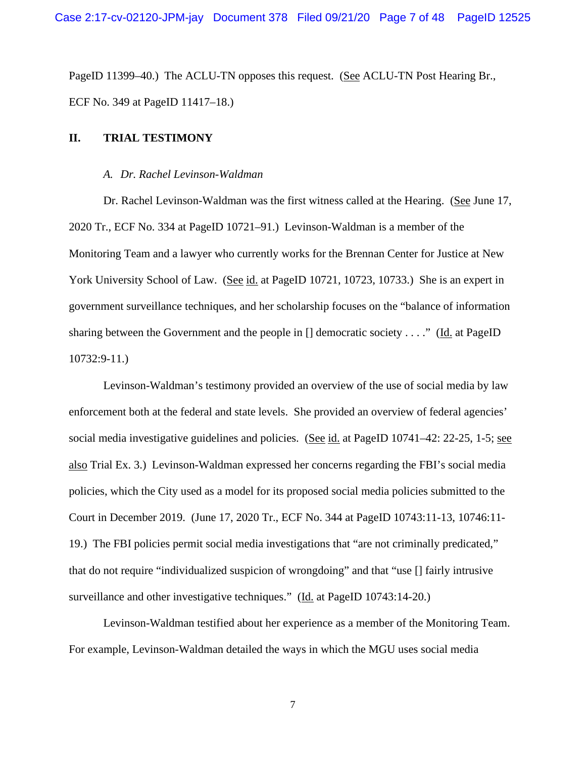PageID 11399–40.) The ACLU-TN opposes this request. (See ACLU-TN Post Hearing Br., ECF No. 349 at PageID 11417–18.)

## **II. TRIAL TESTIMONY**

#### *A. Dr. Rachel Levinson-Waldman*

Dr. Rachel Levinson-Waldman was the first witness called at the Hearing. (See June 17, 2020 Tr., ECF No. 334 at PageID 10721–91.) Levinson-Waldman is a member of the Monitoring Team and a lawyer who currently works for the Brennan Center for Justice at New York University School of Law. (See id. at PageID 10721, 10723, 10733.) She is an expert in government surveillance techniques, and her scholarship focuses on the "balance of information sharing between the Government and the people in [] democratic society . . . ." (Id. at PageID 10732:9-11.)

Levinson-Waldman's testimony provided an overview of the use of social media by law enforcement both at the federal and state levels. She provided an overview of federal agencies' social media investigative guidelines and policies. (See id. at PageID 10741–42: 22-25, 1-5; see also Trial Ex. 3.) Levinson-Waldman expressed her concerns regarding the FBI's social media policies, which the City used as a model for its proposed social media policies submitted to the Court in December 2019. (June 17, 2020 Tr., ECF No. 344 at PageID 10743:11-13, 10746:11- 19.) The FBI policies permit social media investigations that "are not criminally predicated," that do not require "individualized suspicion of wrongdoing" and that "use [] fairly intrusive surveillance and other investigative techniques." (Id. at PageID 10743:14-20.)

Levinson-Waldman testified about her experience as a member of the Monitoring Team. For example, Levinson-Waldman detailed the ways in which the MGU uses social media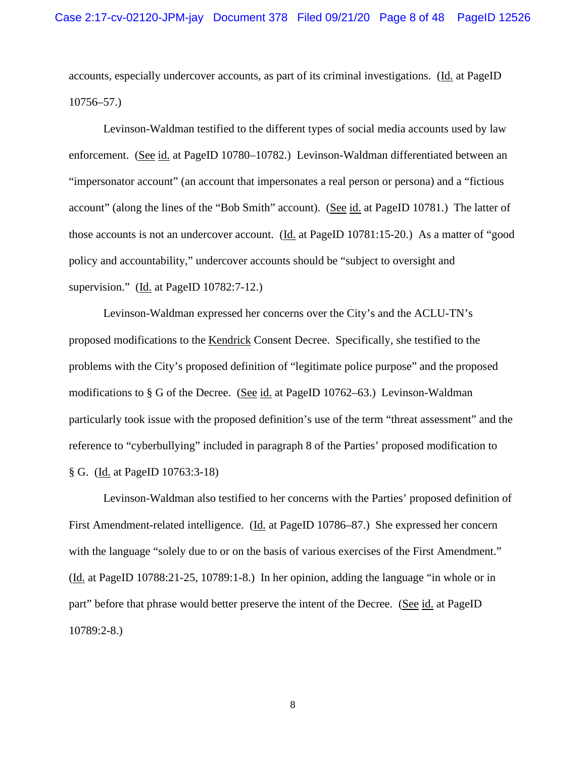accounts, especially undercover accounts, as part of its criminal investigations. (Id. at PageID 10756–57.)

Levinson-Waldman testified to the different types of social media accounts used by law enforcement. (See id. at PageID 10780–10782.) Levinson-Waldman differentiated between an "impersonator account" (an account that impersonates a real person or persona) and a "fictious account" (along the lines of the "Bob Smith" account). (See id. at PageID 10781.) The latter of those accounts is not an undercover account. (Id. at PageID 10781:15-20.) As a matter of "good policy and accountability," undercover accounts should be "subject to oversight and supervision." (Id. at PageID 10782:7-12.)

Levinson-Waldman expressed her concerns over the City's and the ACLU-TN's proposed modifications to the Kendrick Consent Decree. Specifically, she testified to the problems with the City's proposed definition of "legitimate police purpose" and the proposed modifications to § G of the Decree. (See id. at PageID 10762–63.) Levinson-Waldman particularly took issue with the proposed definition's use of the term "threat assessment" and the reference to "cyberbullying" included in paragraph 8 of the Parties' proposed modification to § G. (Id. at PageID 10763:3-18)

Levinson-Waldman also testified to her concerns with the Parties' proposed definition of First Amendment-related intelligence. (Id. at PageID 10786–87.) She expressed her concern with the language "solely due to or on the basis of various exercises of the First Amendment." (Id. at PageID 10788:21-25, 10789:1-8.) In her opinion, adding the language "in whole or in part" before that phrase would better preserve the intent of the Decree. (See id. at PageID 10789:2-8.)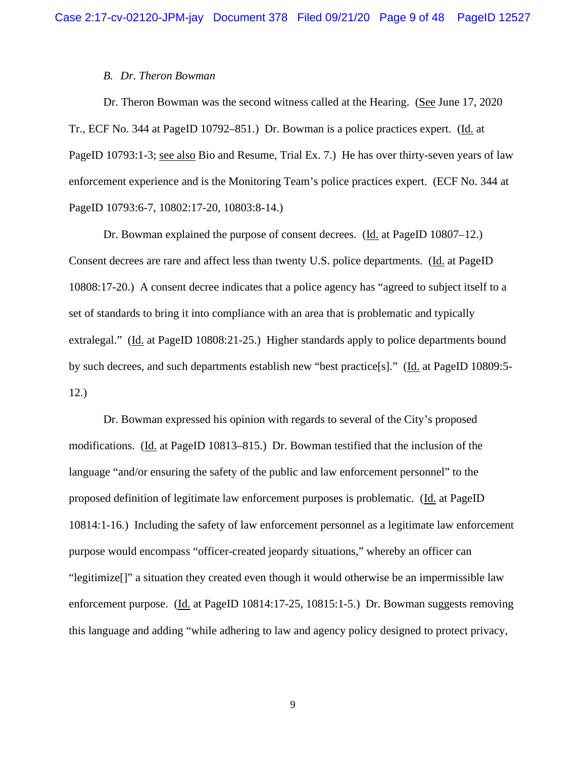#### *B. Dr. Theron Bowman*

Dr. Theron Bowman was the second witness called at the Hearing. (See June 17, 2020 Tr., ECF No. 344 at PageID 10792–851.) Dr. Bowman is a police practices expert. (Id. at PageID 10793:1-3; see also Bio and Resume, Trial Ex. 7.) He has over thirty-seven years of law enforcement experience and is the Monitoring Team's police practices expert. (ECF No. 344 at PageID 10793:6-7, 10802:17-20, 10803:8-14.)

Dr. Bowman explained the purpose of consent decrees. (Id. at PageID 10807–12.) Consent decrees are rare and affect less than twenty U.S. police departments. (Id. at PageID 10808:17-20.) A consent decree indicates that a police agency has "agreed to subject itself to a set of standards to bring it into compliance with an area that is problematic and typically extralegal." (Id. at PageID 10808:21-25.) Higher standards apply to police departments bound by such decrees, and such departments establish new "best practice[s]." (Id. at PageID 10809:5- 12.)

Dr. Bowman expressed his opinion with regards to several of the City's proposed modifications. (Id. at PageID 10813–815.) Dr. Bowman testified that the inclusion of the language "and/or ensuring the safety of the public and law enforcement personnel" to the proposed definition of legitimate law enforcement purposes is problematic. (Id. at PageID 10814:1-16.) Including the safety of law enforcement personnel as a legitimate law enforcement purpose would encompass "officer-created jeopardy situations," whereby an officer can "legitimize[]" a situation they created even though it would otherwise be an impermissible law enforcement purpose. (Id. at PageID 10814:17-25, 10815:1-5.) Dr. Bowman suggests removing this language and adding "while adhering to law and agency policy designed to protect privacy,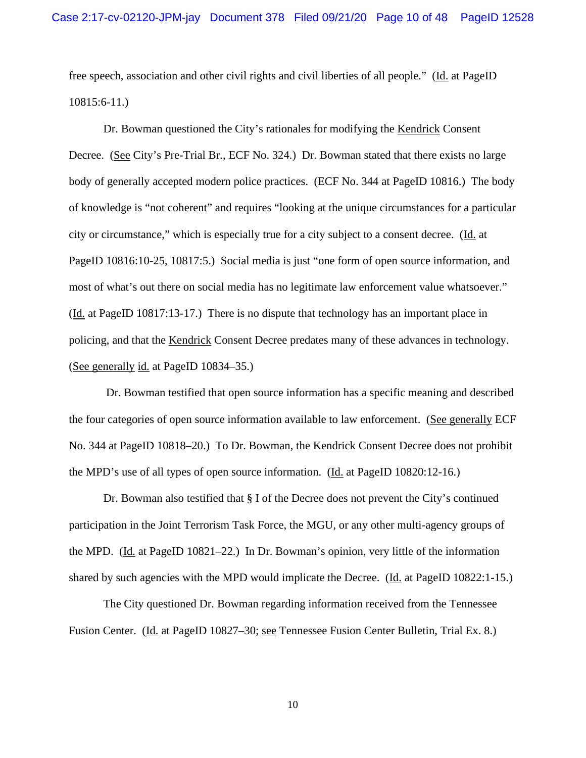free speech, association and other civil rights and civil liberties of all people." (Id. at PageID 10815:6-11.)

Dr. Bowman questioned the City's rationales for modifying the Kendrick Consent Decree. (See City's Pre-Trial Br., ECF No. 324.) Dr. Bowman stated that there exists no large body of generally accepted modern police practices. (ECF No. 344 at PageID 10816.) The body of knowledge is "not coherent" and requires "looking at the unique circumstances for a particular city or circumstance," which is especially true for a city subject to a consent decree. (Id. at PageID 10816:10-25, 10817:5.) Social media is just "one form of open source information, and most of what's out there on social media has no legitimate law enforcement value whatsoever." (Id. at PageID 10817:13-17.) There is no dispute that technology has an important place in policing, and that the Kendrick Consent Decree predates many of these advances in technology. (See generally id. at PageID 10834–35.)

Dr. Bowman testified that open source information has a specific meaning and described the four categories of open source information available to law enforcement. (See generally ECF No. 344 at PageID 10818–20.) To Dr. Bowman, the Kendrick Consent Decree does not prohibit the MPD's use of all types of open source information. (Id. at PageID 10820:12-16.)

Dr. Bowman also testified that § I of the Decree does not prevent the City's continued participation in the Joint Terrorism Task Force, the MGU, or any other multi-agency groups of the MPD. (Id. at PageID 10821–22.) In Dr. Bowman's opinion, very little of the information shared by such agencies with the MPD would implicate the Decree. (Id. at PageID 10822:1-15.)

The City questioned Dr. Bowman regarding information received from the Tennessee Fusion Center. (Id. at PageID 10827–30; see Tennessee Fusion Center Bulletin, Trial Ex. 8.)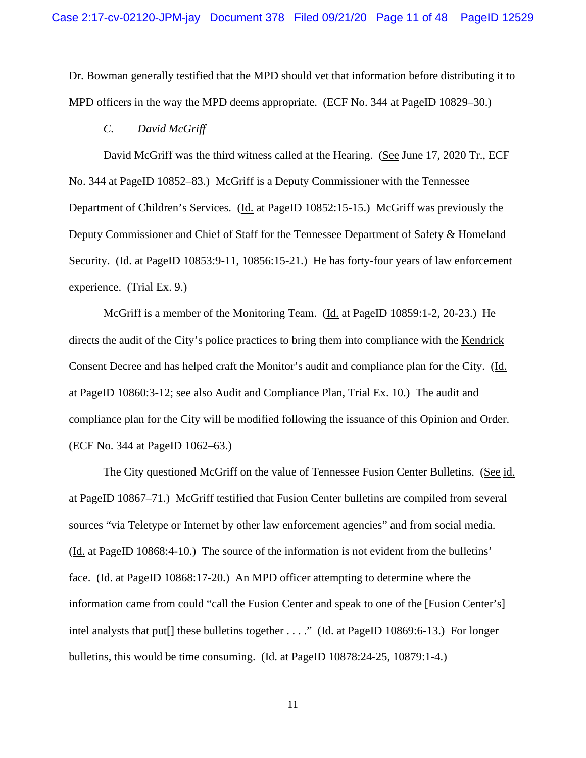Dr. Bowman generally testified that the MPD should vet that information before distributing it to MPD officers in the way the MPD deems appropriate. (ECF No. 344 at PageID 10829–30.)

#### *C. David McGriff*

David McGriff was the third witness called at the Hearing. (See June 17, 2020 Tr., ECF No. 344 at PageID 10852–83.) McGriff is a Deputy Commissioner with the Tennessee Department of Children's Services. (Id. at PageID 10852:15-15.) McGriff was previously the Deputy Commissioner and Chief of Staff for the Tennessee Department of Safety & Homeland Security. (Id. at PageID 10853:9-11, 10856:15-21.) He has forty-four years of law enforcement experience. (Trial Ex. 9.)

McGriff is a member of the Monitoring Team. (Id. at PageID 10859:1-2, 20-23.) He directs the audit of the City's police practices to bring them into compliance with the Kendrick Consent Decree and has helped craft the Monitor's audit and compliance plan for the City. (Id. at PageID 10860:3-12; see also Audit and Compliance Plan, Trial Ex. 10.) The audit and compliance plan for the City will be modified following the issuance of this Opinion and Order. (ECF No. 344 at PageID 1062–63.)

The City questioned McGriff on the value of Tennessee Fusion Center Bulletins. (See id. at PageID 10867–71.) McGriff testified that Fusion Center bulletins are compiled from several sources "via Teletype or Internet by other law enforcement agencies" and from social media. (Id. at PageID 10868:4-10.) The source of the information is not evident from the bulletins' face. (Id. at PageID 10868:17-20.) An MPD officer attempting to determine where the information came from could "call the Fusion Center and speak to one of the [Fusion Center's] intel analysts that put[] these bulletins together . . . ." (Id. at PageID 10869:6-13.) For longer bulletins, this would be time consuming. (Id. at PageID 10878:24-25, 10879:1-4.)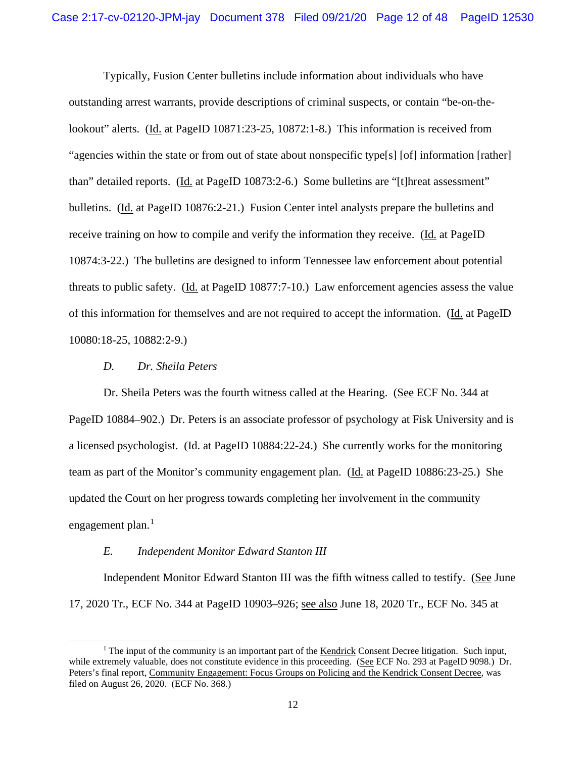Typically, Fusion Center bulletins include information about individuals who have outstanding arrest warrants, provide descriptions of criminal suspects, or contain "be-on-thelookout" alerts. (Id. at PageID 10871:23-25, 10872:1-8.) This information is received from "agencies within the state or from out of state about nonspecific type[s] [of] information [rather] than" detailed reports. (Id. at PageID 10873:2-6.) Some bulletins are "[t]hreat assessment" bulletins. (Id. at PageID 10876:2-21.) Fusion Center intel analysts prepare the bulletins and receive training on how to compile and verify the information they receive. (Id. at PageID 10874:3-22.) The bulletins are designed to inform Tennessee law enforcement about potential threats to public safety. (Id. at PageID 10877:7-10.) Law enforcement agencies assess the value of this information for themselves and are not required to accept the information. (Id. at PageID 10080:18-25, 10882:2-9.)

#### *D. Dr. Sheila Peters*

Dr. Sheila Peters was the fourth witness called at the Hearing. (See ECF No. 344 at PageID 10884–902.) Dr. Peters is an associate professor of psychology at Fisk University and is a licensed psychologist. (Id. at PageID 10884:22-24.) She currently works for the monitoring team as part of the Monitor's community engagement plan. (Id. at PageID 10886:23-25.) She updated the Court on her progress towards completing her involvement in the community engagement plan.<sup>[1](#page-45-0)</sup>

#### *E. Independent Monitor Edward Stanton III*

Independent Monitor Edward Stanton III was the fifth witness called to testify. (See June 17, 2020 Tr., ECF No. 344 at PageID 10903–926; see also June 18, 2020 Tr., ECF No. 345 at

 $<sup>1</sup>$  The input of the community is an important part of the Kendrick Consent Decree litigation. Such input,</sup> while extremely valuable, does not constitute evidence in this proceeding. (See ECF No. 293 at PageID 9098.) Dr. Peters's final report, Community Engagement: Focus Groups on Policing and the Kendrick Consent Decree, was filed on August 26, 2020. (ECF No. 368.)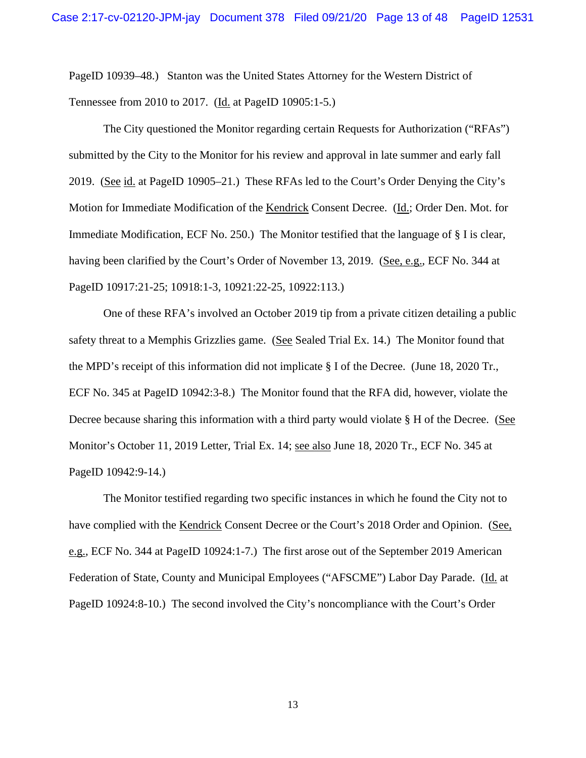PageID 10939–48.) Stanton was the United States Attorney for the Western District of Tennessee from 2010 to 2017. (Id. at PageID 10905:1-5.)

The City questioned the Monitor regarding certain Requests for Authorization ("RFAs") submitted by the City to the Monitor for his review and approval in late summer and early fall 2019. (See id. at PageID 10905–21.) These RFAs led to the Court's Order Denying the City's Motion for Immediate Modification of the Kendrick Consent Decree. (Id.; Order Den. Mot. for Immediate Modification, ECF No. 250.) The Monitor testified that the language of § I is clear, having been clarified by the Court's Order of November 13, 2019. (See, e.g., ECF No. 344 at PageID 10917:21-25; 10918:1-3, 10921:22-25, 10922:113.)

One of these RFA's involved an October 2019 tip from a private citizen detailing a public safety threat to a Memphis Grizzlies game. (See Sealed Trial Ex. 14.) The Monitor found that the MPD's receipt of this information did not implicate § I of the Decree. (June 18, 2020 Tr., ECF No. 345 at PageID 10942:3-8.) The Monitor found that the RFA did, however, violate the Decree because sharing this information with a third party would violate § H of the Decree. (See Monitor's October 11, 2019 Letter, Trial Ex. 14; see also June 18, 2020 Tr., ECF No. 345 at PageID 10942:9-14.)

The Monitor testified regarding two specific instances in which he found the City not to have complied with the Kendrick Consent Decree or the Court's 2018 Order and Opinion. (See, e.g., ECF No. 344 at PageID 10924:1-7.) The first arose out of the September 2019 American Federation of State, County and Municipal Employees ("AFSCME") Labor Day Parade. (Id. at PageID 10924:8-10.) The second involved the City's noncompliance with the Court's Order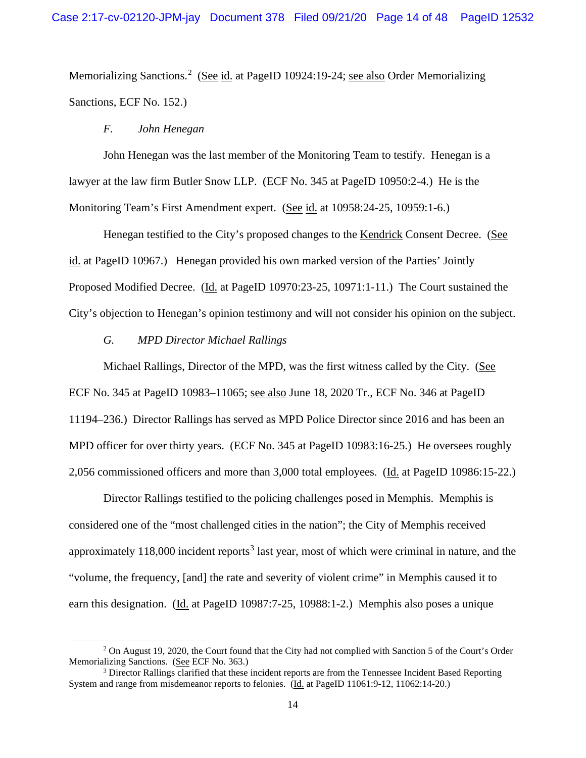Memorializing Sanctions.<sup>[2](#page-45-0)</sup> (See id. at PageID 10924:19-24; see also Order Memorializing Sanctions, ECF No. 152.)

## *F. John Henegan*

John Henegan was the last member of the Monitoring Team to testify. Henegan is a lawyer at the law firm Butler Snow LLP. (ECF No. 345 at PageID 10950:2-4.) He is the Monitoring Team's First Amendment expert. (See id. at 10958:24-25, 10959:1-6.)

Henegan testified to the City's proposed changes to the Kendrick Consent Decree. (See id. at PageID 10967.) Henegan provided his own marked version of the Parties' Jointly Proposed Modified Decree. (Id. at PageID 10970:23-25, 10971:1-11.) The Court sustained the City's objection to Henegan's opinion testimony and will not consider his opinion on the subject.

#### *G. MPD Director Michael Rallings*

Michael Rallings, Director of the MPD, was the first witness called by the City. (See ECF No. 345 at PageID 10983–11065; see also June 18, 2020 Tr., ECF No. 346 at PageID 11194–236.) Director Rallings has served as MPD Police Director since 2016 and has been an MPD officer for over thirty years. (ECF No. 345 at PageID 10983:16-25.) He oversees roughly 2,056 commissioned officers and more than 3,000 total employees. (Id. at PageID 10986:15-22.)

Director Rallings testified to the policing challenges posed in Memphis. Memphis is considered one of the "most challenged cities in the nation"; the City of Memphis received approximately  $118,000$  incident reports<sup>[3](#page-45-0)</sup> last year, most of which were criminal in nature, and the "volume, the frequency, [and] the rate and severity of violent crime" in Memphis caused it to earn this designation. (Id. at PageID 10987:7-25, 10988:1-2.) Memphis also poses a unique

<sup>&</sup>lt;sup>2</sup> On August 19, 2020, the Court found that the City had not complied with Sanction 5 of the Court's Order Memorializing Sanctions. (See ECF No. 363.)

<sup>&</sup>lt;sup>3</sup> Director Rallings clarified that these incident reports are from the Tennessee Incident Based Reporting System and range from misdemeanor reports to felonies. (Id. at PageID 11061:9-12, 11062:14-20.)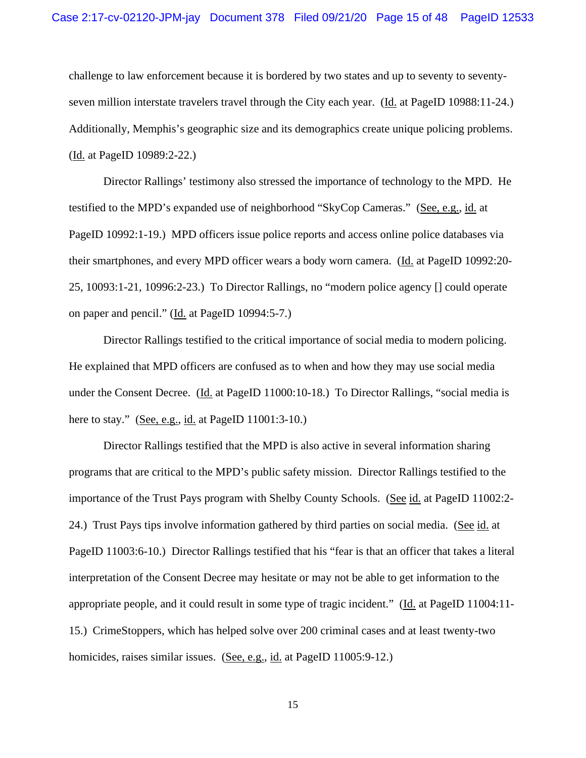challenge to law enforcement because it is bordered by two states and up to seventy to seventyseven million interstate travelers travel through the City each year. (Id. at PageID 10988:11-24.) Additionally, Memphis's geographic size and its demographics create unique policing problems. (Id. at PageID 10989:2-22.)

Director Rallings' testimony also stressed the importance of technology to the MPD. He testified to the MPD's expanded use of neighborhood "SkyCop Cameras." (See, e.g., id. at PageID 10992:1-19.) MPD officers issue police reports and access online police databases via their smartphones, and every MPD officer wears a body worn camera. (Id. at PageID 10992:20- 25, 10093:1-21, 10996:2-23.) To Director Rallings, no "modern police agency [] could operate on paper and pencil." (Id. at PageID 10994:5-7.)

Director Rallings testified to the critical importance of social media to modern policing. He explained that MPD officers are confused as to when and how they may use social media under the Consent Decree. (Id. at PageID 11000:10-18.) To Director Rallings, "social media is here to stay." (See, e.g., id. at PageID 11001:3-10.)

Director Rallings testified that the MPD is also active in several information sharing programs that are critical to the MPD's public safety mission. Director Rallings testified to the importance of the Trust Pays program with Shelby County Schools. (See id. at PageID 11002:2-24.) Trust Pays tips involve information gathered by third parties on social media. (See id. at PageID 11003:6-10.) Director Rallings testified that his "fear is that an officer that takes a literal interpretation of the Consent Decree may hesitate or may not be able to get information to the appropriate people, and it could result in some type of tragic incident." ( $\underline{Id}$  at PageID 11004:11-15.) CrimeStoppers, which has helped solve over 200 criminal cases and at least twenty-two homicides, raises similar issues. (See, e.g., id. at PageID 11005:9-12.)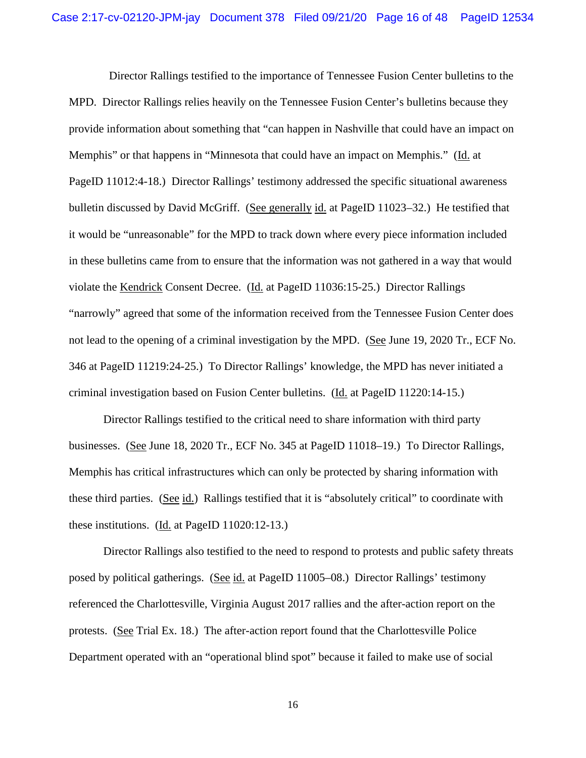Director Rallings testified to the importance of Tennessee Fusion Center bulletins to the MPD. Director Rallings relies heavily on the Tennessee Fusion Center's bulletins because they provide information about something that "can happen in Nashville that could have an impact on Memphis" or that happens in "Minnesota that could have an impact on Memphis." (Id. at PageID 11012:4-18.) Director Rallings' testimony addressed the specific situational awareness bulletin discussed by David McGriff. (See generally id. at PageID 11023–32.) He testified that it would be "unreasonable" for the MPD to track down where every piece information included in these bulletins came from to ensure that the information was not gathered in a way that would violate the Kendrick Consent Decree. (Id. at PageID 11036:15-25.) Director Rallings "narrowly" agreed that some of the information received from the Tennessee Fusion Center does not lead to the opening of a criminal investigation by the MPD. (See June 19, 2020 Tr., ECF No. 346 at PageID 11219:24-25.) To Director Rallings' knowledge, the MPD has never initiated a criminal investigation based on Fusion Center bulletins. (Id. at PageID 11220:14-15.)

Director Rallings testified to the critical need to share information with third party businesses. (See June 18, 2020 Tr., ECF No. 345 at PageID 11018–19.) To Director Rallings, Memphis has critical infrastructures which can only be protected by sharing information with these third parties. (See id.) Rallings testified that it is "absolutely critical" to coordinate with these institutions. (Id. at PageID 11020:12-13.)

Director Rallings also testified to the need to respond to protests and public safety threats posed by political gatherings. (See id. at PageID 11005–08.) Director Rallings' testimony referenced the Charlottesville, Virginia August 2017 rallies and the after-action report on the protests. (See Trial Ex. 18.) The after-action report found that the Charlottesville Police Department operated with an "operational blind spot" because it failed to make use of social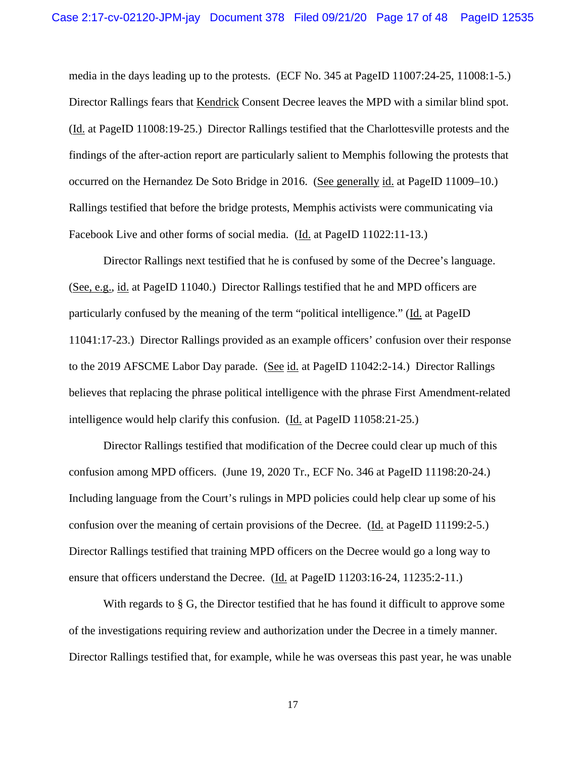media in the days leading up to the protests. (ECF No. 345 at PageID 11007:24-25, 11008:1-5.) Director Rallings fears that Kendrick Consent Decree leaves the MPD with a similar blind spot. (Id. at PageID 11008:19-25.) Director Rallings testified that the Charlottesville protests and the findings of the after-action report are particularly salient to Memphis following the protests that occurred on the Hernandez De Soto Bridge in 2016. (See generally id. at PageID 11009–10.) Rallings testified that before the bridge protests, Memphis activists were communicating via Facebook Live and other forms of social media. (Id. at PageID 11022:11-13.)

Director Rallings next testified that he is confused by some of the Decree's language. (See, e.g., id. at PageID 11040.) Director Rallings testified that he and MPD officers are particularly confused by the meaning of the term "political intelligence." (Id. at PageID 11041:17-23.) Director Rallings provided as an example officers' confusion over their response to the 2019 AFSCME Labor Day parade. (See id. at PageID 11042:2-14.) Director Rallings believes that replacing the phrase political intelligence with the phrase First Amendment-related intelligence would help clarify this confusion. (Id. at PageID 11058:21-25.)

Director Rallings testified that modification of the Decree could clear up much of this confusion among MPD officers. (June 19, 2020 Tr., ECF No. 346 at PageID 11198:20-24.) Including language from the Court's rulings in MPD policies could help clear up some of his confusion over the meaning of certain provisions of the Decree. (Id. at PageID 11199:2-5.) Director Rallings testified that training MPD officers on the Decree would go a long way to ensure that officers understand the Decree. (Id. at PageID 11203:16-24, 11235:2-11.)

With regards to § G, the Director testified that he has found it difficult to approve some of the investigations requiring review and authorization under the Decree in a timely manner. Director Rallings testified that, for example, while he was overseas this past year, he was unable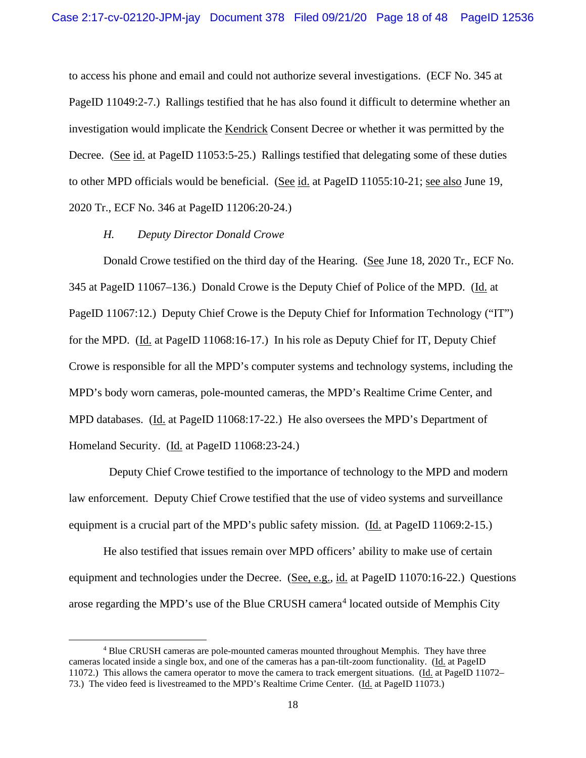to access his phone and email and could not authorize several investigations. (ECF No. 345 at PageID 11049:2-7.) Rallings testified that he has also found it difficult to determine whether an investigation would implicate the Kendrick Consent Decree or whether it was permitted by the Decree. (See id. at PageID 11053:5-25.) Rallings testified that delegating some of these duties to other MPD officials would be beneficial. (See id. at PageID 11055:10-21; see also June 19, 2020 Tr., ECF No. 346 at PageID 11206:20-24.)

#### *H. Deputy Director Donald Crowe*

Donald Crowe testified on the third day of the Hearing. (See June 18, 2020 Tr., ECF No. 345 at PageID 11067–136.) Donald Crowe is the Deputy Chief of Police of the MPD. (Id. at PageID 11067:12.) Deputy Chief Crowe is the Deputy Chief for Information Technology ("IT") for the MPD. (Id. at PageID 11068:16-17.) In his role as Deputy Chief for IT, Deputy Chief Crowe is responsible for all the MPD's computer systems and technology systems, including the MPD's body worn cameras, pole-mounted cameras, the MPD's Realtime Crime Center, and MPD databases. (Id. at PageID 11068:17-22.) He also oversees the MPD's Department of Homeland Security. (Id. at PageID 11068:23-24.)

 Deputy Chief Crowe testified to the importance of technology to the MPD and modern law enforcement. Deputy Chief Crowe testified that the use of video systems and surveillance equipment is a crucial part of the MPD's public safety mission. (Id. at PageID 11069:2-15.)

He also testified that issues remain over MPD officers' ability to make use of certain equipment and technologies under the Decree. (See, e.g., id. at PageID 11070:16-22.) Questions arose regarding the MPD's use of the Blue CRUSH camera<sup>[4](#page-45-0)</sup> located outside of Memphis City

<sup>4</sup> Blue CRUSH cameras are pole-mounted cameras mounted throughout Memphis. They have three cameras located inside a single box, and one of the cameras has a pan-tilt-zoom functionality. (Id. at PageID 11072.) This allows the camera operator to move the camera to track emergent situations. (Id. at PageID 11072– 73.) The video feed is livestreamed to the MPD's Realtime Crime Center. (Id. at PageID 11073.)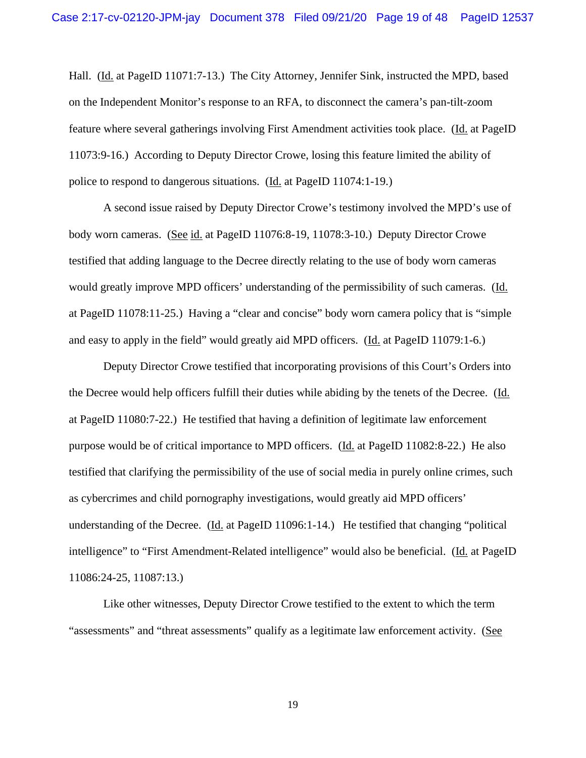Hall. (Id. at PageID 11071:7-13.) The City Attorney, Jennifer Sink, instructed the MPD, based on the Independent Monitor's response to an RFA, to disconnect the camera's pan-tilt-zoom feature where several gatherings involving First Amendment activities took place. (Id. at PageID 11073:9-16.) According to Deputy Director Crowe, losing this feature limited the ability of police to respond to dangerous situations. (Id. at PageID 11074:1-19.)

A second issue raised by Deputy Director Crowe's testimony involved the MPD's use of body worn cameras. (See id. at PageID 11076:8-19, 11078:3-10.) Deputy Director Crowe testified that adding language to the Decree directly relating to the use of body worn cameras would greatly improve MPD officers' understanding of the permissibility of such cameras. (Id. at PageID 11078:11-25.) Having a "clear and concise" body worn camera policy that is "simple and easy to apply in the field" would greatly aid MPD officers. (Id. at PageID 11079:1-6.)

Deputy Director Crowe testified that incorporating provisions of this Court's Orders into the Decree would help officers fulfill their duties while abiding by the tenets of the Decree. (Id. at PageID 11080:7-22.) He testified that having a definition of legitimate law enforcement purpose would be of critical importance to MPD officers. (Id. at PageID 11082:8-22.) He also testified that clarifying the permissibility of the use of social media in purely online crimes, such as cybercrimes and child pornography investigations, would greatly aid MPD officers' understanding of the Decree. (Id. at PageID 11096:1-14.) He testified that changing "political intelligence" to "First Amendment-Related intelligence" would also be beneficial. (Id. at PageID 11086:24-25, 11087:13.)

Like other witnesses, Deputy Director Crowe testified to the extent to which the term "assessments" and "threat assessments" qualify as a legitimate law enforcement activity. (See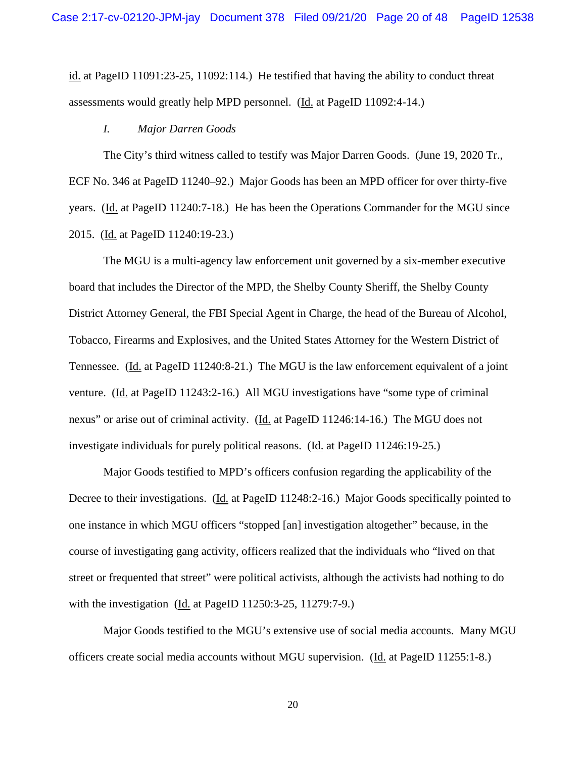id. at PageID 11091:23-25, 11092:114.) He testified that having the ability to conduct threat assessments would greatly help MPD personnel. (Id. at PageID 11092:4-14.)

#### *I. Major Darren Goods*

The City's third witness called to testify was Major Darren Goods. (June 19, 2020 Tr., ECF No. 346 at PageID 11240–92.) Major Goods has been an MPD officer for over thirty-five years. (Id. at PageID 11240:7-18.) He has been the Operations Commander for the MGU since 2015. (Id. at PageID 11240:19-23.)

The MGU is a multi-agency law enforcement unit governed by a six-member executive board that includes the Director of the MPD, the Shelby County Sheriff, the Shelby County District Attorney General, the FBI Special Agent in Charge, the head of the Bureau of Alcohol, Tobacco, Firearms and Explosives, and the United States Attorney for the Western District of Tennessee. (Id. at PageID 11240:8-21.) The MGU is the law enforcement equivalent of a joint venture. (Id. at PageID 11243:2-16.) All MGU investigations have "some type of criminal nexus" or arise out of criminal activity. (Id. at PageID 11246:14-16.) The MGU does not investigate individuals for purely political reasons. (Id. at PageID 11246:19-25.)

Major Goods testified to MPD's officers confusion regarding the applicability of the Decree to their investigations. (Id. at PageID 11248:2-16.) Major Goods specifically pointed to one instance in which MGU officers "stopped [an] investigation altogether" because, in the course of investigating gang activity, officers realized that the individuals who "lived on that street or frequented that street" were political activists, although the activists had nothing to do with the investigation (Id. at PageID 11250:3-25, 11279:7-9.)

Major Goods testified to the MGU's extensive use of social media accounts. Many MGU officers create social media accounts without MGU supervision. (Id. at PageID 11255:1-8.)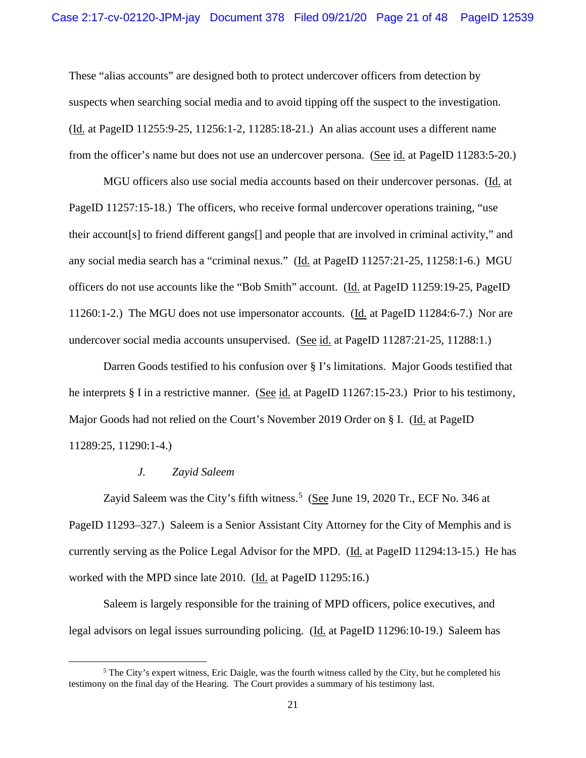These "alias accounts" are designed both to protect undercover officers from detection by suspects when searching social media and to avoid tipping off the suspect to the investigation. (Id. at PageID 11255:9-25, 11256:1-2, 11285:18-21.) An alias account uses a different name from the officer's name but does not use an undercover persona. (See id. at PageID 11283:5-20.)

MGU officers also use social media accounts based on their undercover personas. (Id. at PageID 11257:15-18.) The officers, who receive formal undercover operations training, "use their account[s] to friend different gangs[] and people that are involved in criminal activity," and any social media search has a "criminal nexus." (Id. at PageID 11257:21-25, 11258:1-6.) MGU officers do not use accounts like the "Bob Smith" account. (Id. at PageID 11259:19-25, PageID 11260:1-2.) The MGU does not use impersonator accounts. (Id. at PageID 11284:6-7.) Nor are undercover social media accounts unsupervised. (See id. at PageID 11287:21-25, 11288:1.)

Darren Goods testified to his confusion over § I's limitations. Major Goods testified that he interprets § I in a restrictive manner. (See id. at PageID 11267:15-23.) Prior to his testimony, Major Goods had not relied on the Court's November 2019 Order on § I. (Id. at PageID 11289:25, 11290:1-4.)

#### *J. Zayid Saleem*

Zayid Saleem was the City's fifth witness.<sup>[5](#page-45-0)</sup> (See June 19, 2020 Tr., ECF No. 346 at PageID 11293–327.) Saleem is a Senior Assistant City Attorney for the City of Memphis and is currently serving as the Police Legal Advisor for the MPD. (Id. at PageID 11294:13-15.) He has worked with the MPD since late 2010. (Id. at PageID 11295:16.)

Saleem is largely responsible for the training of MPD officers, police executives, and legal advisors on legal issues surrounding policing. (Id. at PageID 11296:10-19.) Saleem has

 $5$  The City's expert witness, Eric Daigle, was the fourth witness called by the City, but he completed his testimony on the final day of the Hearing. The Court provides a summary of his testimony last.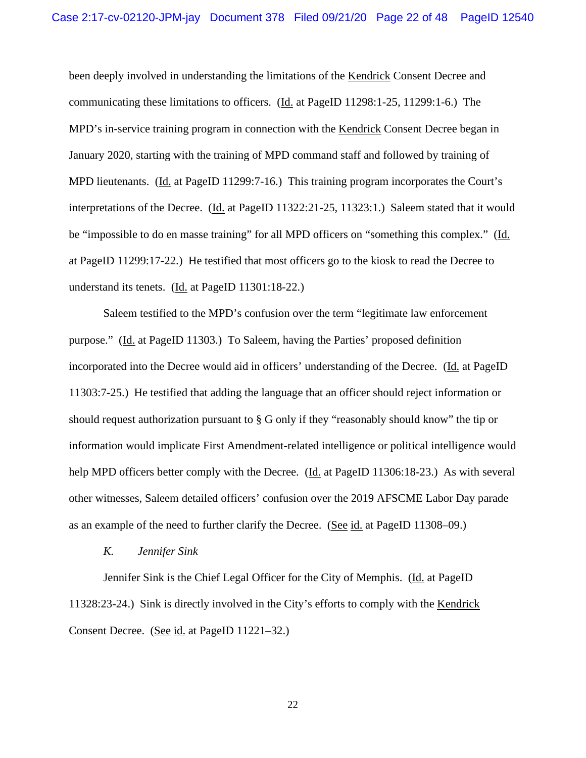been deeply involved in understanding the limitations of the Kendrick Consent Decree and communicating these limitations to officers. (Id. at PageID 11298:1-25, 11299:1-6.) The MPD's in-service training program in connection with the Kendrick Consent Decree began in January 2020, starting with the training of MPD command staff and followed by training of MPD lieutenants. (Id. at PageID 11299:7-16.) This training program incorporates the Court's interpretations of the Decree. (Id. at PageID 11322:21-25, 11323:1.) Saleem stated that it would be "impossible to do en masse training" for all MPD officers on "something this complex." (Id. at PageID 11299:17-22.) He testified that most officers go to the kiosk to read the Decree to understand its tenets. (Id. at PageID 11301:18-22.)

Saleem testified to the MPD's confusion over the term "legitimate law enforcement purpose." (Id. at PageID 11303.) To Saleem, having the Parties' proposed definition incorporated into the Decree would aid in officers' understanding of the Decree. (Id. at PageID 11303:7-25.) He testified that adding the language that an officer should reject information or should request authorization pursuant to § G only if they "reasonably should know" the tip or information would implicate First Amendment-related intelligence or political intelligence would help MPD officers better comply with the Decree. (Id. at PageID 11306:18-23.) As with several other witnesses, Saleem detailed officers' confusion over the 2019 AFSCME Labor Day parade as an example of the need to further clarify the Decree. (See id. at PageID 11308–09.)

#### *K. Jennifer Sink*

Jennifer Sink is the Chief Legal Officer for the City of Memphis. (Id. at PageID 11328:23-24.) Sink is directly involved in the City's efforts to comply with the Kendrick Consent Decree. (See id. at PageID 11221–32.)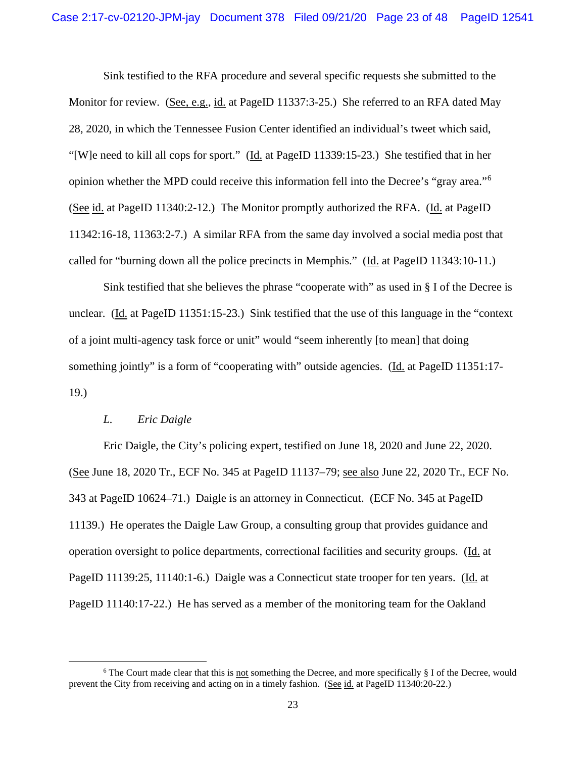Sink testified to the RFA procedure and several specific requests she submitted to the Monitor for review. (See, e.g., id. at PageID 11337:3-25.) She referred to an RFA dated May 28, 2020, in which the Tennessee Fusion Center identified an individual's tweet which said, "[W]e need to kill all cops for sport." (Id. at PageID 11339:15-23.) She testified that in her opinion whether the MPD could receive this information fell into the Decree's "gray area."[6](#page-45-0) (See id. at PageID 11340:2-12.) The Monitor promptly authorized the RFA. (Id. at PageID 11342:16-18, 11363:2-7.) A similar RFA from the same day involved a social media post that called for "burning down all the police precincts in Memphis." (Id. at PageID 11343:10-11.)

Sink testified that she believes the phrase "cooperate with" as used in § I of the Decree is unclear. (Id. at PageID 11351:15-23.) Sink testified that the use of this language in the "context of a joint multi-agency task force or unit" would "seem inherently [to mean] that doing something jointly" is a form of "cooperating with" outside agencies. (Id. at PageID 11351:17-19.)

## *L. Eric Daigle*

Eric Daigle, the City's policing expert, testified on June 18, 2020 and June 22, 2020. (See June 18, 2020 Tr., ECF No. 345 at PageID 11137–79; see also June 22, 2020 Tr., ECF No. 343 at PageID 10624–71.) Daigle is an attorney in Connecticut. (ECF No. 345 at PageID 11139.) He operates the Daigle Law Group, a consulting group that provides guidance and operation oversight to police departments, correctional facilities and security groups. (Id. at PageID 11139:25, 11140:1-6.) Daigle was a Connecticut state trooper for ten years. (Id. at PageID 11140:17-22.) He has served as a member of the monitoring team for the Oakland

 $6$  The Court made clear that this is not something the Decree, and more specifically  $\S$  I of the Decree, would prevent the City from receiving and acting on in a timely fashion. (See id. at PageID 11340:20-22.)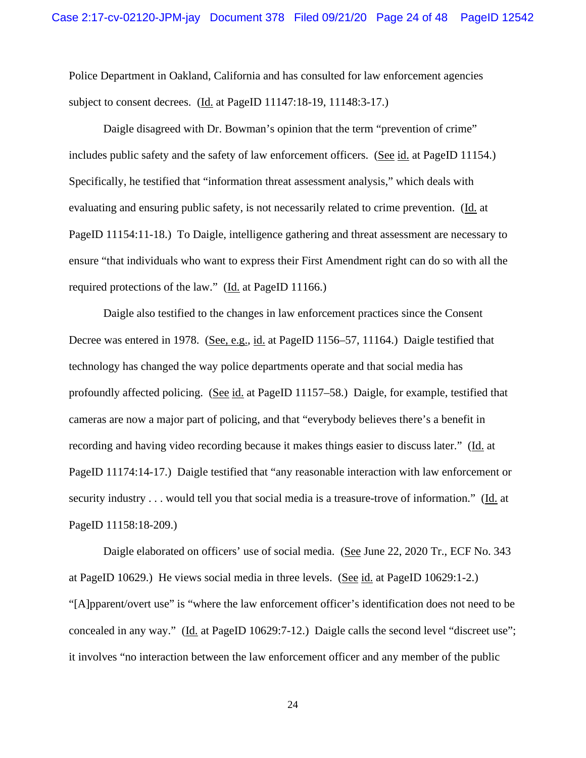Police Department in Oakland, California and has consulted for law enforcement agencies subject to consent decrees. (Id. at PageID 11147:18-19, 11148:3-17.)

Daigle disagreed with Dr. Bowman's opinion that the term "prevention of crime" includes public safety and the safety of law enforcement officers. (See id. at PageID 11154.) Specifically, he testified that "information threat assessment analysis," which deals with evaluating and ensuring public safety, is not necessarily related to crime prevention. (Id. at PageID 11154:11-18.) To Daigle, intelligence gathering and threat assessment are necessary to ensure "that individuals who want to express their First Amendment right can do so with all the required protections of the law." (Id. at PageID 11166.)

Daigle also testified to the changes in law enforcement practices since the Consent Decree was entered in 1978. (See, e.g., id. at PageID 1156–57, 11164.) Daigle testified that technology has changed the way police departments operate and that social media has profoundly affected policing. (See id. at PageID 11157–58.) Daigle, for example, testified that cameras are now a major part of policing, and that "everybody believes there's a benefit in recording and having video recording because it makes things easier to discuss later." (Id. at PageID 11174:14-17.) Daigle testified that "any reasonable interaction with law enforcement or security industry . . . would tell you that social media is a treasure-trove of information." (Id. at PageID 11158:18-209.)

Daigle elaborated on officers' use of social media. (See June 22, 2020 Tr., ECF No. 343 at PageID 10629.) He views social media in three levels. (See id. at PageID 10629:1-2.) "[A]pparent/overt use" is "where the law enforcement officer's identification does not need to be concealed in any way." (Id. at PageID 10629:7-12.) Daigle calls the second level "discreet use"; it involves "no interaction between the law enforcement officer and any member of the public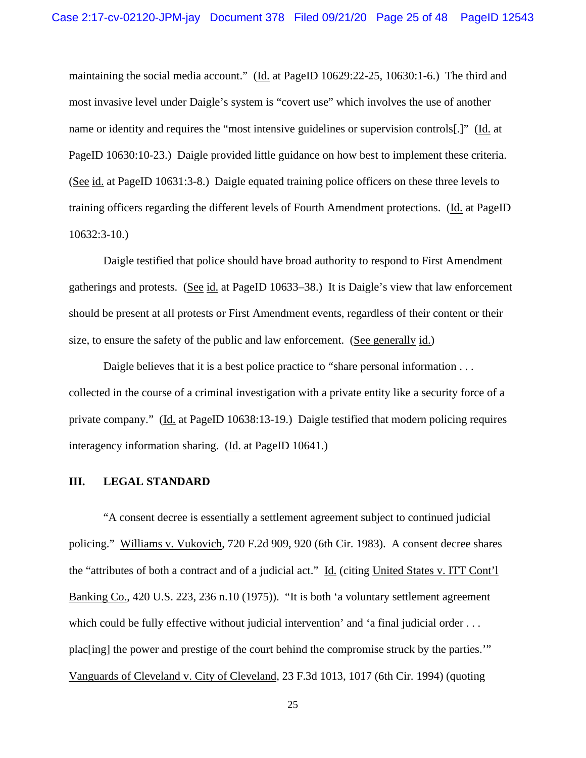maintaining the social media account." (Id. at PageID 10629:22-25, 10630:1-6.) The third and most invasive level under Daigle's system is "covert use" which involves the use of another name or identity and requires the "most intensive guidelines or supervision controls[.]" (Id. at PageID 10630:10-23.) Daigle provided little guidance on how best to implement these criteria. (See id. at PageID 10631:3-8.) Daigle equated training police officers on these three levels to training officers regarding the different levels of Fourth Amendment protections. (Id. at PageID 10632:3-10.)

Daigle testified that police should have broad authority to respond to First Amendment gatherings and protests. (See id. at PageID 10633–38.) It is Daigle's view that law enforcement should be present at all protests or First Amendment events, regardless of their content or their size, to ensure the safety of the public and law enforcement. (See generally id.)

Daigle believes that it is a best police practice to "share personal information . . . collected in the course of a criminal investigation with a private entity like a security force of a private company." (Id. at PageID 10638:13-19.) Daigle testified that modern policing requires interagency information sharing. (Id. at PageID 10641.)

#### **III. LEGAL STANDARD**

"A consent decree is essentially a settlement agreement subject to continued judicial policing." Williams v. Vukovich, 720 F.2d 909, 920 (6th Cir. 1983). A consent decree shares the "attributes of both a contract and of a judicial act." Id. (citing United States v. ITT Cont'l Banking Co., 420 U.S. 223, 236 n.10 (1975)). "It is both 'a voluntary settlement agreement which could be fully effective without judicial intervention' and 'a final judicial order . . . plac[ing] the power and prestige of the court behind the compromise struck by the parties.'" Vanguards of Cleveland v. City of Cleveland, 23 F.3d 1013, 1017 (6th Cir. 1994) (quoting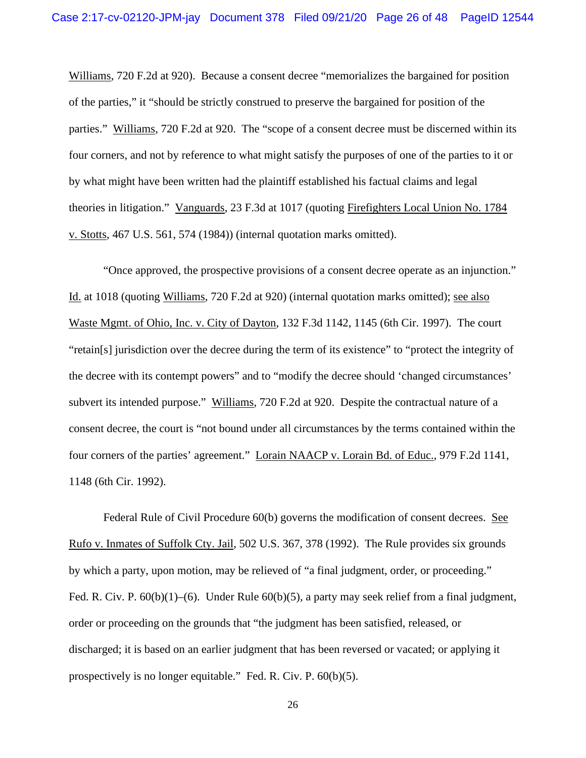Williams, 720 F.2d at 920). Because a consent decree "memorializes the bargained for position of the parties," it "should be strictly construed to preserve the bargained for position of the parties." Williams, 720 F.2d at 920. The "scope of a consent decree must be discerned within its four corners, and not by reference to what might satisfy the purposes of one of the parties to it or by what might have been written had the plaintiff established his factual claims and legal theories in litigation." Vanguards, 23 F.3d at 1017 (quoting Firefighters Local Union No. 1784 v. Stotts, 467 U.S. 561, 574 (1984)) (internal quotation marks omitted).

"Once approved, the prospective provisions of a consent decree operate as an injunction." Id. at 1018 (quoting Williams, 720 F.2d at 920) (internal quotation marks omitted); see also Waste Mgmt. of Ohio, Inc. v. City of Dayton, 132 F.3d 1142, 1145 (6th Cir. 1997). The court "retain[s] jurisdiction over the decree during the term of its existence" to "protect the integrity of the decree with its contempt powers" and to "modify the decree should 'changed circumstances' subvert its intended purpose." Williams, 720 F.2d at 920. Despite the contractual nature of a consent decree, the court is "not bound under all circumstances by the terms contained within the four corners of the parties' agreement." Lorain NAACP v. Lorain Bd. of Educ., 979 F.2d 1141, 1148 (6th Cir. 1992).

Federal Rule of Civil Procedure 60(b) governs the modification of consent decrees. See Rufo v. Inmates of Suffolk Cty. Jail, 502 U.S. 367, 378 (1992). The Rule provides six grounds by which a party, upon motion, may be relieved of "a final judgment, order, or proceeding." Fed. R. Civ. P. 60(b)(1)–(6). Under Rule 60(b)(5), a party may seek relief from a final judgment, order or proceeding on the grounds that "the judgment has been satisfied, released, or discharged; it is based on an earlier judgment that has been reversed or vacated; or applying it prospectively is no longer equitable." Fed. R. Civ. P. 60(b)(5).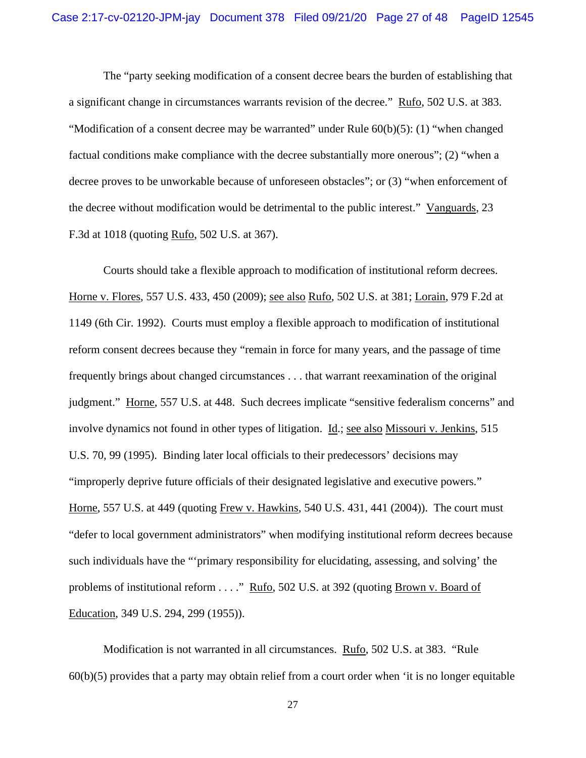The "party seeking modification of a consent decree bears the burden of establishing that a significant change in circumstances warrants revision of the decree." Rufo, 502 U.S. at 383. "Modification of a consent decree may be warranted" under Rule 60(b)(5): (1) "when changed factual conditions make compliance with the decree substantially more onerous"; (2) "when a decree proves to be unworkable because of unforeseen obstacles"; or (3) "when enforcement of the decree without modification would be detrimental to the public interest." Vanguards, 23 F.3d at 1018 (quoting Rufo, 502 U.S. at 367).

Courts should take a flexible approach to modification of institutional reform decrees. Horne v. Flores, 557 U.S. 433, 450 (2009); see also Rufo, 502 U.S. at 381; Lorain, 979 F.2d at 1149 (6th Cir. 1992). Courts must employ a flexible approach to modification of institutional reform consent decrees because they "remain in force for many years, and the passage of time frequently brings about changed circumstances . . . that warrant reexamination of the original judgment." Horne, 557 U.S. at 448. Such decrees implicate "sensitive federalism concerns" and involve dynamics not found in other types of litigation. Id.; see also Missouri v. Jenkins, 515 U.S. 70, 99 (1995). Binding later local officials to their predecessors' decisions may "improperly deprive future officials of their designated legislative and executive powers." Horne, 557 U.S. at 449 (quoting Frew v. Hawkins, 540 U.S. 431, 441 (2004)). The court must "defer to local government administrators" when modifying institutional reform decrees because such individuals have the "'primary responsibility for elucidating, assessing, and solving' the problems of institutional reform . . . ." Rufo, 502 U.S. at 392 (quoting Brown v. Board of Education, 349 U.S. 294, 299 (1955)).

Modification is not warranted in all circumstances. Rufo, 502 U.S. at 383. "Rule 60(b)(5) provides that a party may obtain relief from a court order when 'it is no longer equitable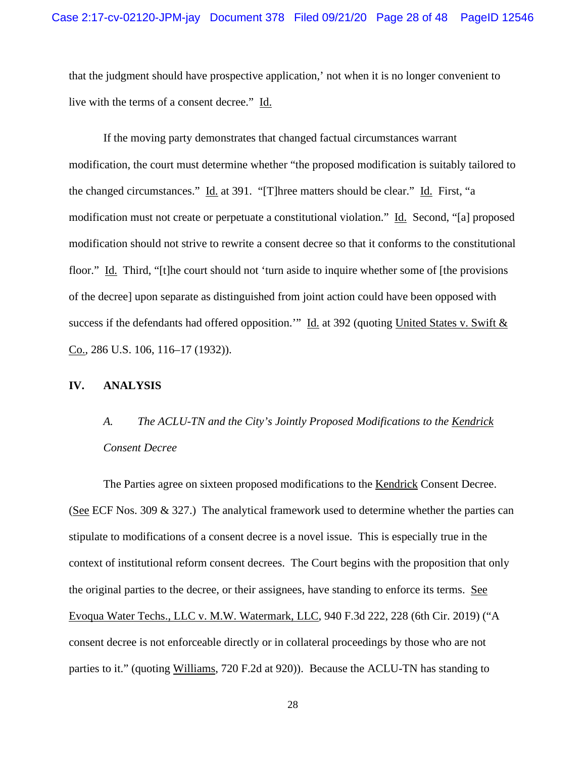that the judgment should have prospective application,' not when it is no longer convenient to live with the terms of a consent decree." Id.

If the moving party demonstrates that changed factual circumstances warrant modification, the court must determine whether "the proposed modification is suitably tailored to the changed circumstances." Id. at 391. "[T]hree matters should be clear." Id. First, "a modification must not create or perpetuate a constitutional violation." Id. Second, "[a] proposed modification should not strive to rewrite a consent decree so that it conforms to the constitutional floor." Id. Third, "[t]he court should not 'turn aside to inquire whether some of [the provisions] of the decree] upon separate as distinguished from joint action could have been opposed with success if the defendants had offered opposition." Id. at 392 (quoting United States v. Swift  $&$ Co., 286 U.S. 106, 116–17 (1932)).

## **IV. ANALYSIS**

# *A. The ACLU-TN and the City's Jointly Proposed Modifications to the Kendrick Consent Decree*

The Parties agree on sixteen proposed modifications to the Kendrick Consent Decree. (See ECF Nos. 309 & 327.) The analytical framework used to determine whether the parties can stipulate to modifications of a consent decree is a novel issue. This is especially true in the context of institutional reform consent decrees. The Court begins with the proposition that only the original parties to the decree, or their assignees, have standing to enforce its terms. See Evoqua Water Techs., LLC v. M.W. Watermark, LLC, 940 F.3d 222, 228 (6th Cir. 2019) ("A consent decree is not enforceable directly or in collateral proceedings by those who are not parties to it." (quoting Williams, 720 F.2d at 920)). Because the ACLU-TN has standing to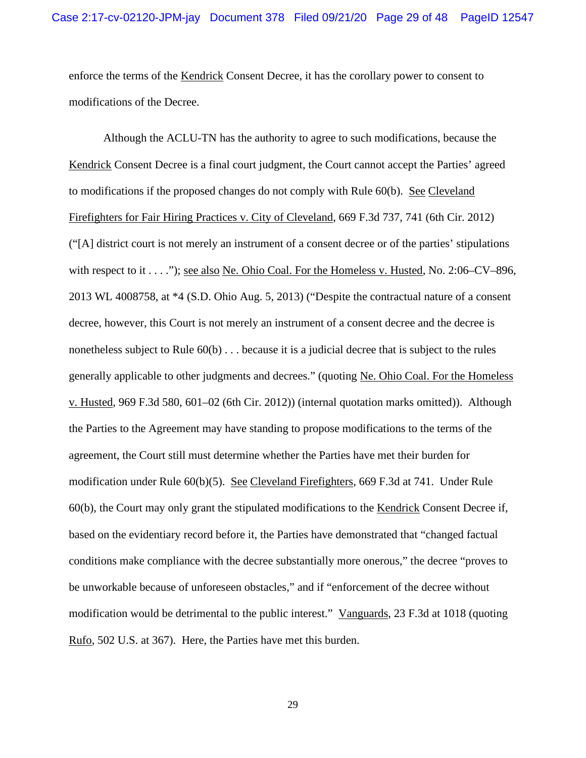enforce the terms of the Kendrick Consent Decree, it has the corollary power to consent to modifications of the Decree.

Although the ACLU-TN has the authority to agree to such modifications, because the Kendrick Consent Decree is a final court judgment, the Court cannot accept the Parties' agreed to modifications if the proposed changes do not comply with Rule 60(b). See Cleveland Firefighters for Fair Hiring Practices v. City of Cleveland, 669 F.3d 737, 741 (6th Cir. 2012) ("[A] district court is not merely an instrument of a consent decree or of the parties' stipulations with respect to it  $\dots$ ."); see also Ne. Ohio Coal. For the Homeless v. Husted, No. 2:06–CV–896, 2013 WL 4008758, at \*4 (S.D. Ohio Aug. 5, 2013) ("Despite the contractual nature of a consent decree, however, this Court is not merely an instrument of a consent decree and the decree is nonetheless subject to Rule 60(b) . . . because it is a judicial decree that is subject to the rules generally applicable to other judgments and decrees." (quoting Ne. Ohio Coal. For the Homeless v. Husted, 969 F.3d 580, 601–02 (6th Cir. 2012)) (internal quotation marks omitted)). Although the Parties to the Agreement may have standing to propose modifications to the terms of the agreement, the Court still must determine whether the Parties have met their burden for modification under Rule 60(b)(5). See Cleveland Firefighters, 669 F.3d at 741. Under Rule 60(b), the Court may only grant the stipulated modifications to the Kendrick Consent Decree if, based on the evidentiary record before it, the Parties have demonstrated that "changed factual conditions make compliance with the decree substantially more onerous," the decree "proves to be unworkable because of unforeseen obstacles," and if "enforcement of the decree without modification would be detrimental to the public interest." Vanguards, 23 F.3d at 1018 (quoting Rufo, 502 U.S. at 367). Here, the Parties have met this burden.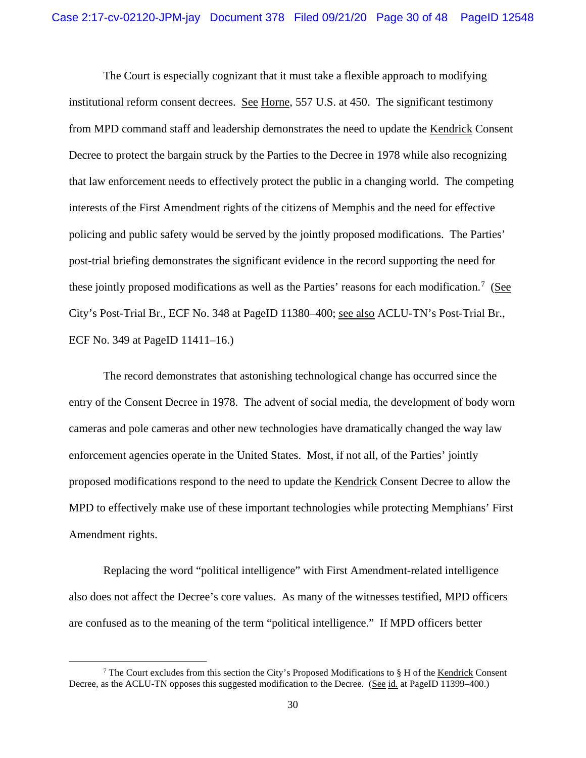The Court is especially cognizant that it must take a flexible approach to modifying institutional reform consent decrees. See Horne, 557 U.S. at 450. The significant testimony from MPD command staff and leadership demonstrates the need to update the Kendrick Consent Decree to protect the bargain struck by the Parties to the Decree in 1978 while also recognizing that law enforcement needs to effectively protect the public in a changing world. The competing interests of the First Amendment rights of the citizens of Memphis and the need for effective policing and public safety would be served by the jointly proposed modifications. The Parties' post-trial briefing demonstrates the significant evidence in the record supporting the need for these jointly proposed modifications as well as the Parties' reasons for each modification.<sup>[7](#page-45-0)</sup> (See City's Post-Trial Br., ECF No. 348 at PageID 11380–400; see also ACLU-TN's Post-Trial Br., ECF No. 349 at PageID 11411–16.)

The record demonstrates that astonishing technological change has occurred since the entry of the Consent Decree in 1978. The advent of social media, the development of body worn cameras and pole cameras and other new technologies have dramatically changed the way law enforcement agencies operate in the United States. Most, if not all, of the Parties' jointly proposed modifications respond to the need to update the Kendrick Consent Decree to allow the MPD to effectively make use of these important technologies while protecting Memphians' First Amendment rights.

Replacing the word "political intelligence" with First Amendment-related intelligence also does not affect the Decree's core values. As many of the witnesses testified, MPD officers are confused as to the meaning of the term "political intelligence." If MPD officers better

<sup>&</sup>lt;sup>7</sup> The Court excludes from this section the City's Proposed Modifications to § H of the Kendrick Consent Decree, as the ACLU-TN opposes this suggested modification to the Decree. (See id. at PageID 11399–400.)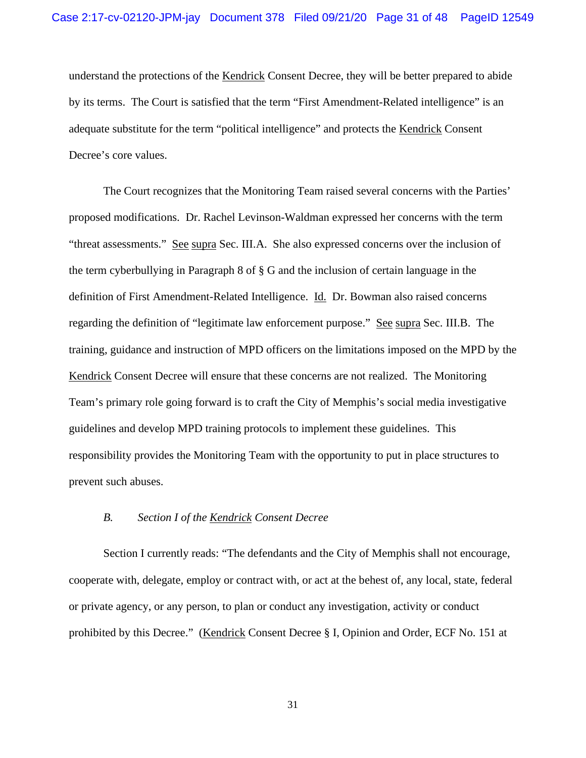understand the protections of the Kendrick Consent Decree, they will be better prepared to abide by its terms. The Court is satisfied that the term "First Amendment-Related intelligence" is an adequate substitute for the term "political intelligence" and protects the Kendrick Consent Decree's core values.

The Court recognizes that the Monitoring Team raised several concerns with the Parties' proposed modifications. Dr. Rachel Levinson-Waldman expressed her concerns with the term "threat assessments." See supra Sec. III.A. She also expressed concerns over the inclusion of the term cyberbullying in Paragraph 8 of § G and the inclusion of certain language in the definition of First Amendment-Related Intelligence. Id. Dr. Bowman also raised concerns regarding the definition of "legitimate law enforcement purpose." See supra Sec. III.B. The training, guidance and instruction of MPD officers on the limitations imposed on the MPD by the Kendrick Consent Decree will ensure that these concerns are not realized. The Monitoring Team's primary role going forward is to craft the City of Memphis's social media investigative guidelines and develop MPD training protocols to implement these guidelines. This responsibility provides the Monitoring Team with the opportunity to put in place structures to prevent such abuses.

## *B. Section I of the Kendrick Consent Decree*

Section I currently reads: "The defendants and the City of Memphis shall not encourage, cooperate with, delegate, employ or contract with, or act at the behest of, any local, state, federal or private agency, or any person, to plan or conduct any investigation, activity or conduct prohibited by this Decree." (Kendrick Consent Decree § I, Opinion and Order, ECF No. 151 at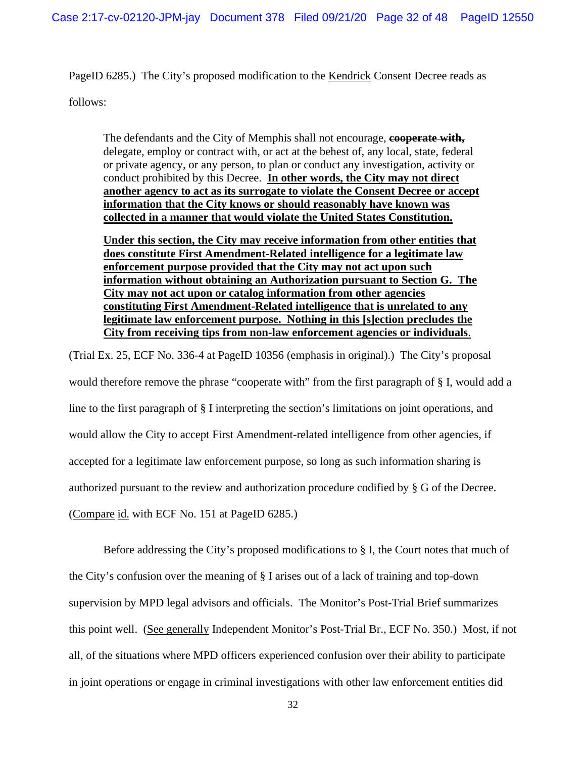PageID 6285.) The City's proposed modification to the Kendrick Consent Decree reads as follows:

The defendants and the City of Memphis shall not encourage, **cooperate with,** delegate, employ or contract with, or act at the behest of, any local, state, federal or private agency, or any person, to plan or conduct any investigation, activity or conduct prohibited by this Decree. **In other words, the City may not direct another agency to act as its surrogate to violate the Consent Decree or accept information that the City knows or should reasonably have known was collected in a manner that would violate the United States Constitution.**

**Under this section, the City may receive information from other entities that does constitute First Amendment-Related intelligence for a legitimate law enforcement purpose provided that the City may not act upon such information without obtaining an Authorization pursuant to Section G. The City may not act upon or catalog information from other agencies constituting First Amendment-Related intelligence that is unrelated to any legitimate law enforcement purpose. Nothing in this [s]ection precludes the City from receiving tips from non-law enforcement agencies or individuals**.

(Trial Ex. 25, ECF No. 336-4 at PageID 10356 (emphasis in original).) The City's proposal would therefore remove the phrase "cooperate with" from the first paragraph of § I, would add a line to the first paragraph of § I interpreting the section's limitations on joint operations, and would allow the City to accept First Amendment-related intelligence from other agencies, if accepted for a legitimate law enforcement purpose, so long as such information sharing is authorized pursuant to the review and authorization procedure codified by § G of the Decree. (Compare id. with ECF No. 151 at PageID 6285.)

Before addressing the City's proposed modifications to  $\S$  I, the Court notes that much of the City's confusion over the meaning of § I arises out of a lack of training and top-down supervision by MPD legal advisors and officials. The Monitor's Post-Trial Brief summarizes this point well. (See generally Independent Monitor's Post-Trial Br., ECF No. 350.) Most, if not all, of the situations where MPD officers experienced confusion over their ability to participate in joint operations or engage in criminal investigations with other law enforcement entities did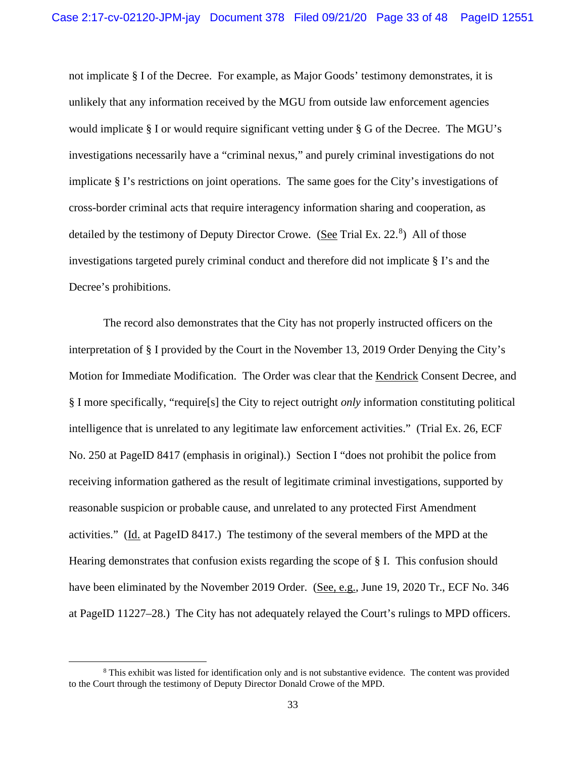not implicate § I of the Decree. For example, as Major Goods' testimony demonstrates, it is unlikely that any information received by the MGU from outside law enforcement agencies would implicate § I or would require significant vetting under § G of the Decree. The MGU's investigations necessarily have a "criminal nexus," and purely criminal investigations do not implicate § I's restrictions on joint operations. The same goes for the City's investigations of cross-border criminal acts that require interagency information sharing and cooperation, as detailed by the testimony of Deputy Director Crowe. (See Trial Ex. 22.<sup>[8](#page-45-0)</sup>) All of those investigations targeted purely criminal conduct and therefore did not implicate § I's and the Decree's prohibitions.

The record also demonstrates that the City has not properly instructed officers on the interpretation of § I provided by the Court in the November 13, 2019 Order Denying the City's Motion for Immediate Modification. The Order was clear that the Kendrick Consent Decree, and § I more specifically, "require[s] the City to reject outright *only* information constituting political intelligence that is unrelated to any legitimate law enforcement activities." (Trial Ex. 26, ECF No. 250 at PageID 8417 (emphasis in original).) Section I "does not prohibit the police from receiving information gathered as the result of legitimate criminal investigations, supported by reasonable suspicion or probable cause, and unrelated to any protected First Amendment activities." (Id. at PageID 8417.) The testimony of the several members of the MPD at the Hearing demonstrates that confusion exists regarding the scope of § I. This confusion should have been eliminated by the November 2019 Order. (See, e.g., June 19, 2020 Tr., ECF No. 346 at PageID 11227–28.) The City has not adequately relayed the Court's rulings to MPD officers.

<sup>&</sup>lt;sup>8</sup> This exhibit was listed for identification only and is not substantive evidence. The content was provided to the Court through the testimony of Deputy Director Donald Crowe of the MPD.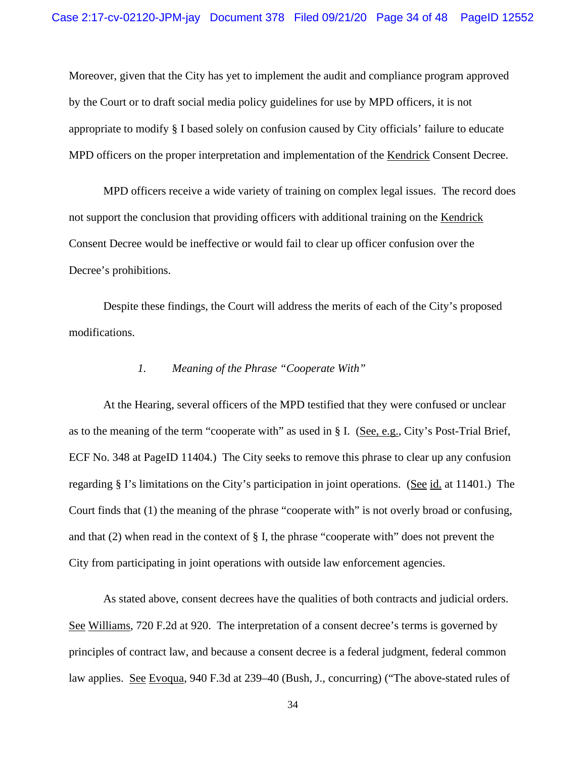Moreover, given that the City has yet to implement the audit and compliance program approved by the Court or to draft social media policy guidelines for use by MPD officers, it is not appropriate to modify § I based solely on confusion caused by City officials' failure to educate MPD officers on the proper interpretation and implementation of the Kendrick Consent Decree.

MPD officers receive a wide variety of training on complex legal issues. The record does not support the conclusion that providing officers with additional training on the Kendrick Consent Decree would be ineffective or would fail to clear up officer confusion over the Decree's prohibitions.

Despite these findings, the Court will address the merits of each of the City's proposed modifications.

## *1. Meaning of the Phrase "Cooperate With"*

At the Hearing, several officers of the MPD testified that they were confused or unclear as to the meaning of the term "cooperate with" as used in § I. (See, e.g., City's Post-Trial Brief, ECF No. 348 at PageID 11404.) The City seeks to remove this phrase to clear up any confusion regarding § I's limitations on the City's participation in joint operations. (See id. at 11401.) The Court finds that (1) the meaning of the phrase "cooperate with" is not overly broad or confusing, and that (2) when read in the context of § I, the phrase "cooperate with" does not prevent the City from participating in joint operations with outside law enforcement agencies.

As stated above, consent decrees have the qualities of both contracts and judicial orders. See Williams, 720 F.2d at 920. The interpretation of a consent decree's terms is governed by principles of contract law, and because a consent decree is a federal judgment, federal common law applies. See Evoqua, 940 F.3d at 239–40 (Bush, J., concurring) ("The above-stated rules of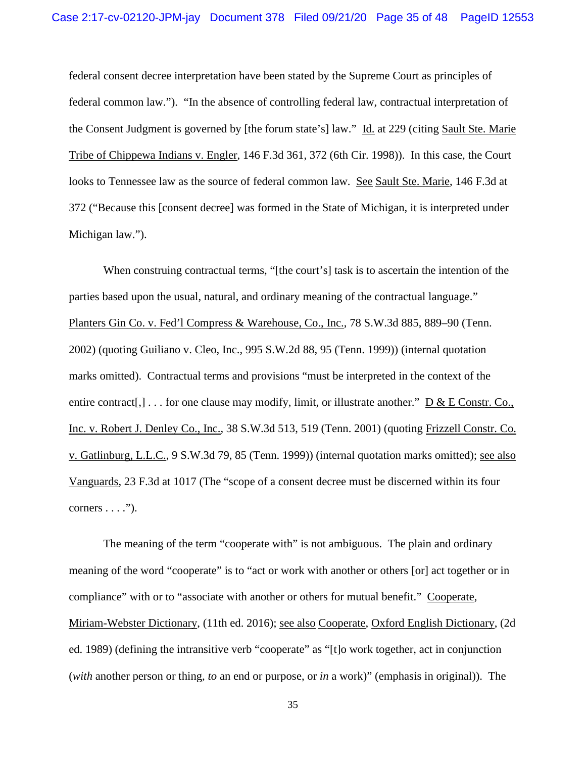federal consent decree interpretation have been stated by the Supreme Court as principles of federal common law."). "In the absence of controlling federal law, contractual interpretation of the Consent Judgment is governed by [the forum state's] law." Id. at 229 (citing Sault Ste. Marie Tribe of Chippewa Indians v. Engler, 146 F.3d 361, 372 (6th Cir. 1998)). In this case, the Court looks to Tennessee law as the source of federal common law. See Sault Ste. Marie, 146 F.3d at 372 ("Because this [consent decree] was formed in the State of Michigan, it is interpreted under Michigan law.").

When construing contractual terms, "[the court's] task is to ascertain the intention of the parties based upon the usual, natural, and ordinary meaning of the contractual language." Planters Gin Co. v. Fed'l Compress & Warehouse, Co., Inc., 78 S.W.3d 885, 889–90 (Tenn. 2002) (quoting Guiliano v. Cleo, Inc., 995 S.W.2d 88, 95 (Tenn. 1999)) (internal quotation marks omitted). Contractual terms and provisions "must be interpreted in the context of the entire contract<sup>[,]</sup> . . . for one clause may modify, limit, or illustrate another." D & E Constr. Co., Inc. v. Robert J. Denley Co., Inc., 38 S.W.3d 513, 519 (Tenn. 2001) (quoting Frizzell Constr. Co. v. Gatlinburg, L.L.C., 9 S.W.3d 79, 85 (Tenn. 1999)) (internal quotation marks omitted); see also Vanguards, 23 F.3d at 1017 (The "scope of a consent decree must be discerned within its four corners  $\dots$ .").

The meaning of the term "cooperate with" is not ambiguous. The plain and ordinary meaning of the word "cooperate" is to "act or work with another or others [or] act together or in compliance" with or to "associate with another or others for mutual benefit." Cooperate, Miriam-Webster Dictionary, (11th ed. 2016); see also Cooperate, Oxford English Dictionary, (2d ed. 1989) (defining the intransitive verb "cooperate" as "[t]o work together, act in conjunction (*with* another person or thing, *to* an end or purpose, or *in* a work)" (emphasis in original)). The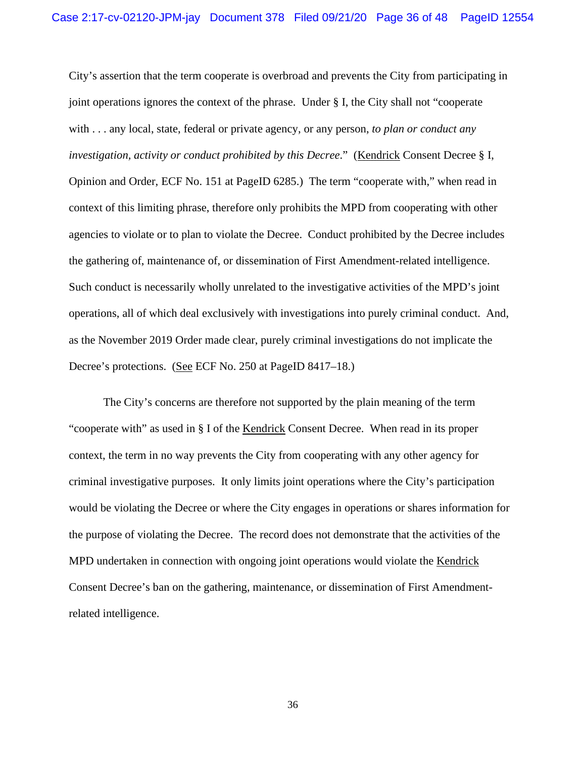City's assertion that the term cooperate is overbroad and prevents the City from participating in joint operations ignores the context of the phrase. Under § I, the City shall not "cooperate with . . . any local, state, federal or private agency, or any person, *to plan or conduct any investigation, activity or conduct prohibited by this Decree*." (Kendrick Consent Decree § I, Opinion and Order, ECF No. 151 at PageID 6285.) The term "cooperate with," when read in context of this limiting phrase, therefore only prohibits the MPD from cooperating with other agencies to violate or to plan to violate the Decree. Conduct prohibited by the Decree includes the gathering of, maintenance of, or dissemination of First Amendment-related intelligence. Such conduct is necessarily wholly unrelated to the investigative activities of the MPD's joint operations, all of which deal exclusively with investigations into purely criminal conduct. And, as the November 2019 Order made clear, purely criminal investigations do not implicate the Decree's protections. (See ECF No. 250 at PageID 8417–18.)

The City's concerns are therefore not supported by the plain meaning of the term "cooperate with" as used in § I of the Kendrick Consent Decree. When read in its proper context, the term in no way prevents the City from cooperating with any other agency for criminal investigative purposes. It only limits joint operations where the City's participation would be violating the Decree or where the City engages in operations or shares information for the purpose of violating the Decree. The record does not demonstrate that the activities of the MPD undertaken in connection with ongoing joint operations would violate the Kendrick Consent Decree's ban on the gathering, maintenance, or dissemination of First Amendmentrelated intelligence.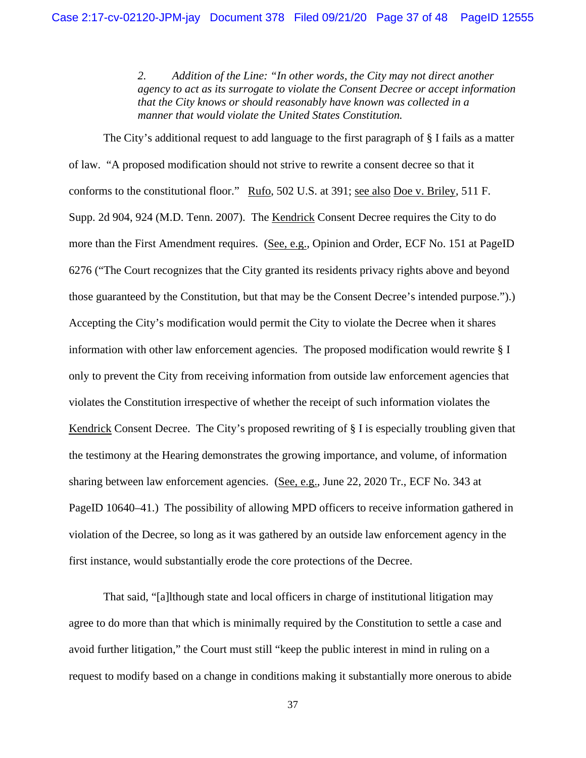*2. Addition of the Line: "In other words, the City may not direct another agency to act as its surrogate to violate the Consent Decree or accept information that the City knows or should reasonably have known was collected in a manner that would violate the United States Constitution.*

The City's additional request to add language to the first paragraph of § I fails as a matter of law. "A proposed modification should not strive to rewrite a consent decree so that it conforms to the constitutional floor." Rufo, 502 U.S. at 391; see also Doe v. Briley, 511 F. Supp. 2d 904, 924 (M.D. Tenn. 2007). The Kendrick Consent Decree requires the City to do more than the First Amendment requires. (See, e.g., Opinion and Order, ECF No. 151 at PageID 6276 ("The Court recognizes that the City granted its residents privacy rights above and beyond those guaranteed by the Constitution, but that may be the Consent Decree's intended purpose.").) Accepting the City's modification would permit the City to violate the Decree when it shares information with other law enforcement agencies. The proposed modification would rewrite § I only to prevent the City from receiving information from outside law enforcement agencies that violates the Constitution irrespective of whether the receipt of such information violates the Kendrick Consent Decree. The City's proposed rewriting of § I is especially troubling given that the testimony at the Hearing demonstrates the growing importance, and volume, of information sharing between law enforcement agencies. (See, e.g., June 22, 2020 Tr., ECF No. 343 at PageID 10640–41.) The possibility of allowing MPD officers to receive information gathered in violation of the Decree, so long as it was gathered by an outside law enforcement agency in the first instance, would substantially erode the core protections of the Decree.

That said, "[a]lthough state and local officers in charge of institutional litigation may agree to do more than that which is minimally required by the Constitution to settle a case and avoid further litigation," the Court must still "keep the public interest in mind in ruling on a request to modify based on a change in conditions making it substantially more onerous to abide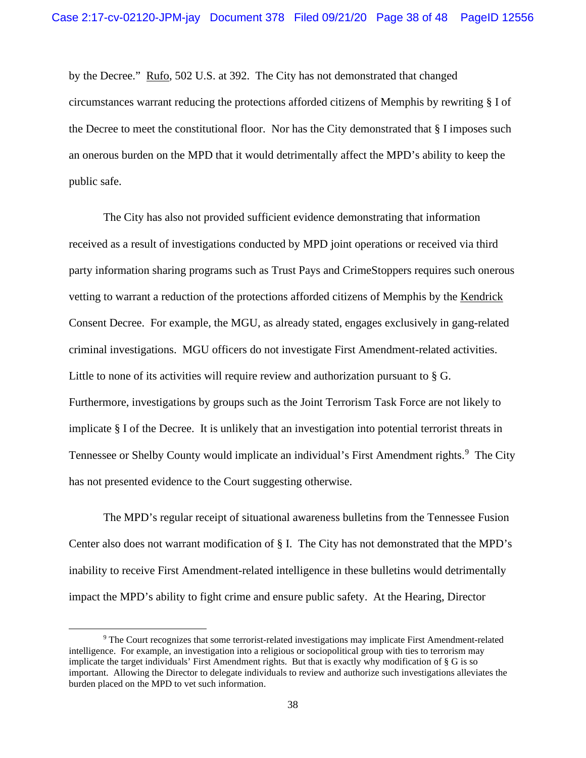by the Decree." Rufo, 502 U.S. at 392. The City has not demonstrated that changed circumstances warrant reducing the protections afforded citizens of Memphis by rewriting § I of the Decree to meet the constitutional floor. Nor has the City demonstrated that § I imposes such an onerous burden on the MPD that it would detrimentally affect the MPD's ability to keep the public safe.

The City has also not provided sufficient evidence demonstrating that information received as a result of investigations conducted by MPD joint operations or received via third party information sharing programs such as Trust Pays and CrimeStoppers requires such onerous vetting to warrant a reduction of the protections afforded citizens of Memphis by the Kendrick Consent Decree. For example, the MGU, as already stated, engages exclusively in gang-related criminal investigations. MGU officers do not investigate First Amendment-related activities. Little to none of its activities will require review and authorization pursuant to § G. Furthermore, investigations by groups such as the Joint Terrorism Task Force are not likely to implicate § I of the Decree. It is unlikely that an investigation into potential terrorist threats in Tennessee or Shelby County would implicate an individual's First Amendment rights.<sup>[9](#page-45-0)</sup> The City has not presented evidence to the Court suggesting otherwise.

The MPD's regular receipt of situational awareness bulletins from the Tennessee Fusion Center also does not warrant modification of § I. The City has not demonstrated that the MPD's inability to receive First Amendment-related intelligence in these bulletins would detrimentally impact the MPD's ability to fight crime and ensure public safety. At the Hearing, Director

<sup>9</sup> The Court recognizes that some terrorist-related investigations may implicate First Amendment-related intelligence. For example, an investigation into a religious or sociopolitical group with ties to terrorism may implicate the target individuals' First Amendment rights. But that is exactly why modification of § G is so important. Allowing the Director to delegate individuals to review and authorize such investigations alleviates the burden placed on the MPD to vet such information.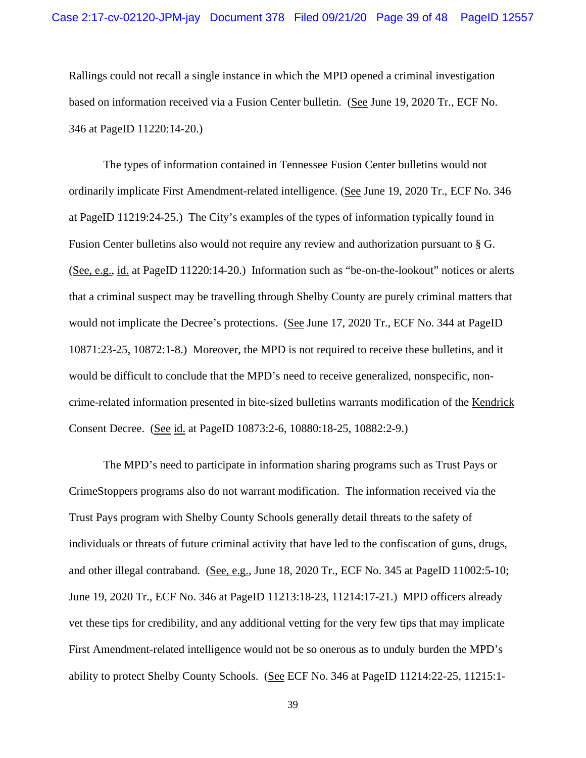Rallings could not recall a single instance in which the MPD opened a criminal investigation based on information received via a Fusion Center bulletin. (See June 19, 2020 Tr., ECF No. 346 at PageID 11220:14-20.)

The types of information contained in Tennessee Fusion Center bulletins would not ordinarily implicate First Amendment-related intelligence. (See June 19, 2020 Tr., ECF No. 346 at PageID 11219:24-25.) The City's examples of the types of information typically found in Fusion Center bulletins also would not require any review and authorization pursuant to § G. (See, e.g., id. at PageID 11220:14-20.) Information such as "be-on-the-lookout" notices or alerts that a criminal suspect may be travelling through Shelby County are purely criminal matters that would not implicate the Decree's protections. (See June 17, 2020 Tr., ECF No. 344 at PageID 10871:23-25, 10872:1-8.) Moreover, the MPD is not required to receive these bulletins, and it would be difficult to conclude that the MPD's need to receive generalized, nonspecific, noncrime-related information presented in bite-sized bulletins warrants modification of the Kendrick Consent Decree. (See id. at PageID 10873:2-6, 10880:18-25, 10882:2-9.)

The MPD's need to participate in information sharing programs such as Trust Pays or CrimeStoppers programs also do not warrant modification. The information received via the Trust Pays program with Shelby County Schools generally detail threats to the safety of individuals or threats of future criminal activity that have led to the confiscation of guns, drugs, and other illegal contraband. (See, e.g., June 18, 2020 Tr., ECF No. 345 at PageID 11002:5-10; June 19, 2020 Tr., ECF No. 346 at PageID 11213:18-23, 11214:17-21.) MPD officers already vet these tips for credibility, and any additional vetting for the very few tips that may implicate First Amendment-related intelligence would not be so onerous as to unduly burden the MPD's ability to protect Shelby County Schools. (See ECF No. 346 at PageID 11214:22-25, 11215:1-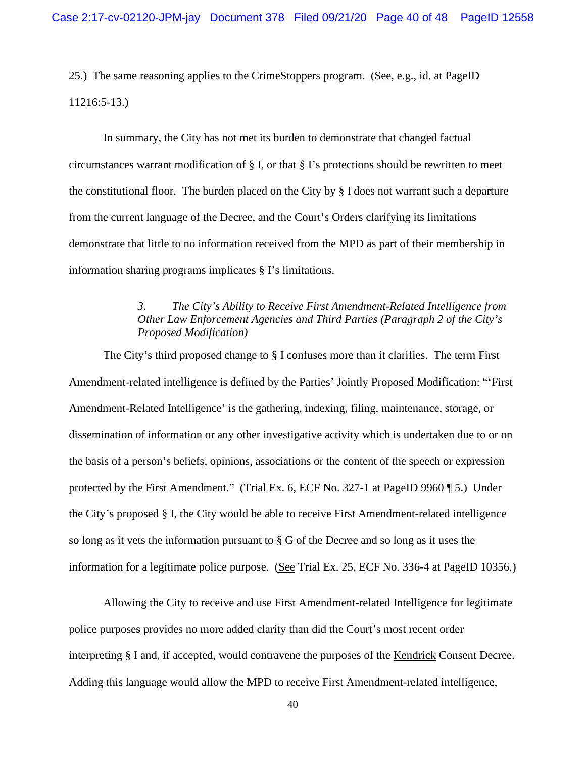25.) The same reasoning applies to the CrimeStoppers program. (See, e.g., id. at PageID 11216:5-13.)

In summary, the City has not met its burden to demonstrate that changed factual circumstances warrant modification of  $\S$  I, or that  $\S$  I's protections should be rewritten to meet the constitutional floor. The burden placed on the City by § I does not warrant such a departure from the current language of the Decree, and the Court's Orders clarifying its limitations demonstrate that little to no information received from the MPD as part of their membership in information sharing programs implicates § I's limitations.

# *3. The City's Ability to Receive First Amendment-Related Intelligence from Other Law Enforcement Agencies and Third Parties (Paragraph 2 of the City's Proposed Modification)*

The City's third proposed change to § I confuses more than it clarifies. The term First Amendment-related intelligence is defined by the Parties' Jointly Proposed Modification: "'First Amendment-Related Intelligence' is the gathering, indexing, filing, maintenance, storage, or dissemination of information or any other investigative activity which is undertaken due to or on the basis of a person's beliefs, opinions, associations or the content of the speech or expression protected by the First Amendment." (Trial Ex. 6, ECF No. 327-1 at PageID 9960 ¶ 5.) Under the City's proposed § I, the City would be able to receive First Amendment-related intelligence so long as it vets the information pursuant to § G of the Decree and so long as it uses the information for a legitimate police purpose. (See Trial Ex. 25, ECF No. 336-4 at PageID 10356.)

Allowing the City to receive and use First Amendment-related Intelligence for legitimate police purposes provides no more added clarity than did the Court's most recent order interpreting § I and, if accepted, would contravene the purposes of the Kendrick Consent Decree. Adding this language would allow the MPD to receive First Amendment-related intelligence,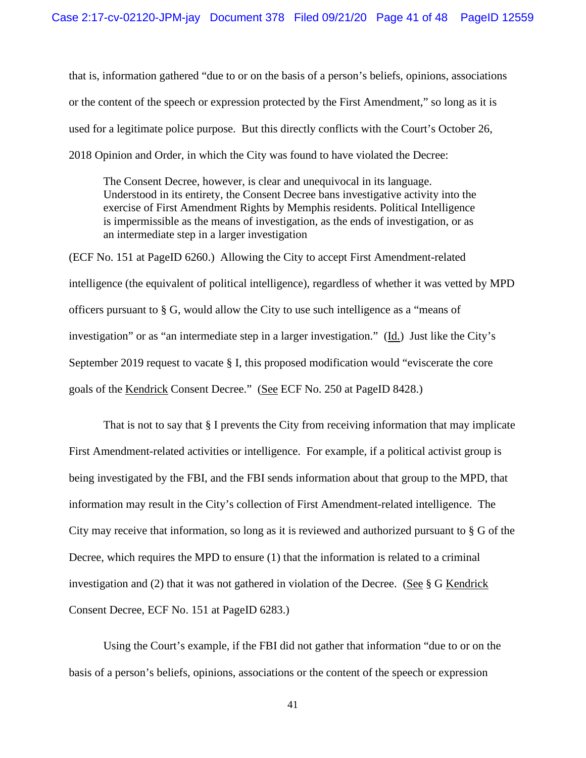that is, information gathered "due to or on the basis of a person's beliefs, opinions, associations or the content of the speech or expression protected by the First Amendment," so long as it is used for a legitimate police purpose. But this directly conflicts with the Court's October 26, 2018 Opinion and Order, in which the City was found to have violated the Decree:

The Consent Decree, however, is clear and unequivocal in its language. Understood in its entirety, the Consent Decree bans investigative activity into the exercise of First Amendment Rights by Memphis residents. Political Intelligence is impermissible as the means of investigation, as the ends of investigation, or as an intermediate step in a larger investigation

(ECF No. 151 at PageID 6260.) Allowing the City to accept First Amendment-related intelligence (the equivalent of political intelligence), regardless of whether it was vetted by MPD officers pursuant to § G, would allow the City to use such intelligence as a "means of investigation" or as "an intermediate step in a larger investigation." (Id.) Just like the City's September 2019 request to vacate § I, this proposed modification would "eviscerate the core goals of the Kendrick Consent Decree." (See ECF No. 250 at PageID 8428.)

That is not to say that § I prevents the City from receiving information that may implicate First Amendment-related activities or intelligence. For example, if a political activist group is being investigated by the FBI, and the FBI sends information about that group to the MPD, that information may result in the City's collection of First Amendment-related intelligence. The City may receive that information, so long as it is reviewed and authorized pursuant to § G of the Decree, which requires the MPD to ensure (1) that the information is related to a criminal investigation and (2) that it was not gathered in violation of the Decree. (See § G Kendrick Consent Decree, ECF No. 151 at PageID 6283.)

Using the Court's example, if the FBI did not gather that information "due to or on the basis of a person's beliefs, opinions, associations or the content of the speech or expression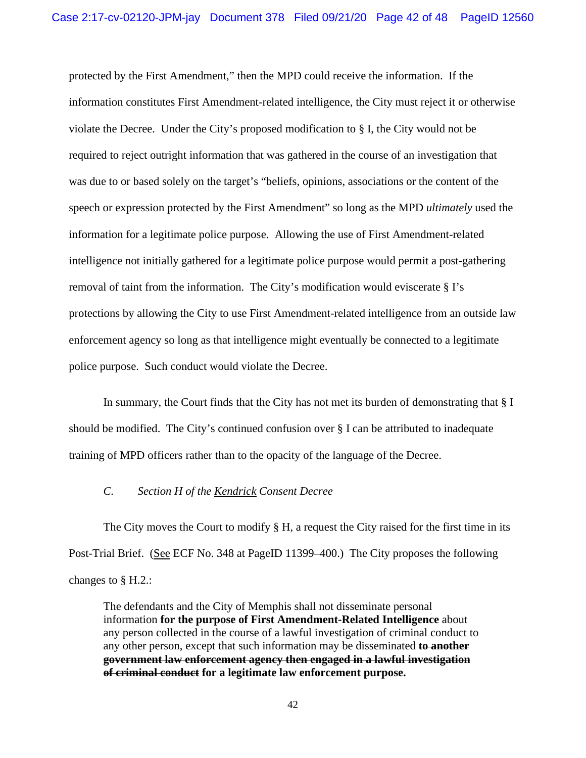protected by the First Amendment," then the MPD could receive the information. If the information constitutes First Amendment-related intelligence, the City must reject it or otherwise violate the Decree. Under the City's proposed modification to § I, the City would not be required to reject outright information that was gathered in the course of an investigation that was due to or based solely on the target's "beliefs, opinions, associations or the content of the speech or expression protected by the First Amendment" so long as the MPD *ultimately* used the information for a legitimate police purpose. Allowing the use of First Amendment-related intelligence not initially gathered for a legitimate police purpose would permit a post-gathering removal of taint from the information. The City's modification would eviscerate § I's protections by allowing the City to use First Amendment-related intelligence from an outside law enforcement agency so long as that intelligence might eventually be connected to a legitimate police purpose. Such conduct would violate the Decree.

In summary, the Court finds that the City has not met its burden of demonstrating that § I should be modified. The City's continued confusion over § I can be attributed to inadequate training of MPD officers rather than to the opacity of the language of the Decree.

## *C. Section H of the Kendrick Consent Decree*

The City moves the Court to modify § H, a request the City raised for the first time in its Post-Trial Brief. (See ECF No. 348 at PageID 11399–400.) The City proposes the following changes to § H.2.:

The defendants and the City of Memphis shall not disseminate personal information **for the purpose of First Amendment-Related Intelligence** about any person collected in the course of a lawful investigation of criminal conduct to any other person, except that such information may be disseminated **to another government law enforcement agency then engaged in a lawful investigation of criminal conduct for a legitimate law enforcement purpose.**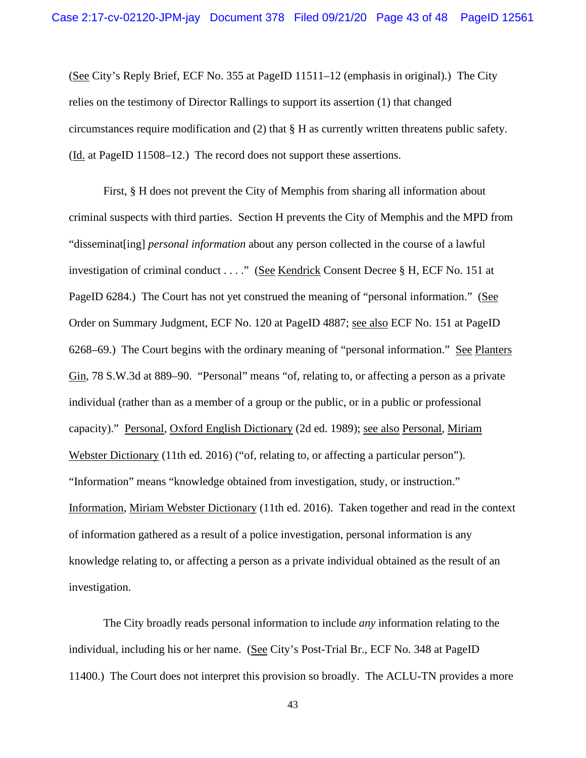(See City's Reply Brief, ECF No. 355 at PageID 11511–12 (emphasis in original).) The City relies on the testimony of Director Rallings to support its assertion (1) that changed circumstances require modification and (2) that § H as currently written threatens public safety. (Id. at PageID 11508–12.) The record does not support these assertions.

First, § H does not prevent the City of Memphis from sharing all information about criminal suspects with third parties. Section H prevents the City of Memphis and the MPD from "disseminat[ing] *personal information* about any person collected in the course of a lawful investigation of criminal conduct . . . ." (See Kendrick Consent Decree § H, ECF No. 151 at PageID 6284.) The Court has not yet construed the meaning of "personal information." (See Order on Summary Judgment, ECF No. 120 at PageID 4887; see also ECF No. 151 at PageID 6268–69.) The Court begins with the ordinary meaning of "personal information." See Planters Gin, 78 S.W.3d at 889–90. "Personal" means "of, relating to, or affecting a person as a private individual (rather than as a member of a group or the public, or in a public or professional capacity)." Personal, Oxford English Dictionary (2d ed. 1989); see also Personal, Miriam Webster Dictionary (11th ed. 2016) ("of, relating to, or affecting a particular person"). "Information" means "knowledge obtained from investigation, study, or instruction." Information, Miriam Webster Dictionary (11th ed. 2016). Taken together and read in the context of information gathered as a result of a police investigation, personal information is any knowledge relating to, or affecting a person as a private individual obtained as the result of an investigation.

The City broadly reads personal information to include *any* information relating to the individual, including his or her name. (See City's Post-Trial Br., ECF No. 348 at PageID 11400.) The Court does not interpret this provision so broadly. The ACLU-TN provides a more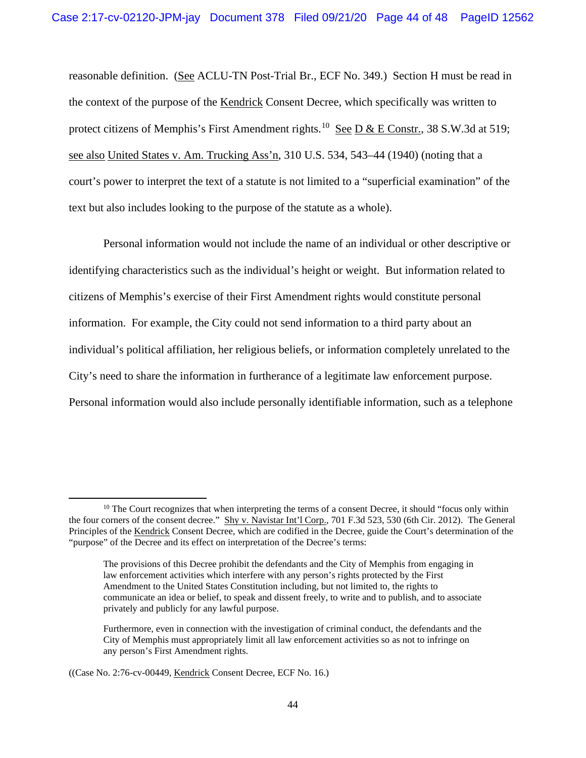reasonable definition. (See ACLU-TN Post-Trial Br., ECF No. 349.) Section H must be read in the context of the purpose of the Kendrick Consent Decree, which specifically was written to protect citizens of Memphis's First Amendment rights.<sup>[10](#page-45-0)</sup> See D & E Constr., 38 S.W.3d at 519; see also United States v. Am. Trucking Ass'n, 310 U.S. 534, 543–44 (1940) (noting that a court's power to interpret the text of a statute is not limited to a "superficial examination" of the text but also includes looking to the purpose of the statute as a whole).

Personal information would not include the name of an individual or other descriptive or identifying characteristics such as the individual's height or weight. But information related to citizens of Memphis's exercise of their First Amendment rights would constitute personal information. For example, the City could not send information to a third party about an individual's political affiliation, her religious beliefs, or information completely unrelated to the City's need to share the information in furtherance of a legitimate law enforcement purpose. Personal information would also include personally identifiable information, such as a telephone

 $10$  The Court recognizes that when interpreting the terms of a consent Decree, it should "focus only within the four corners of the consent decree." Shy v. Navistar Int'l Corp., 701 F.3d 523, 530 (6th Cir. 2012). The General Principles of the Kendrick Consent Decree, which are codified in the Decree, guide the Court's determination of the "purpose" of the Decree and its effect on interpretation of the Decree's terms:

The provisions of this Decree prohibit the defendants and the City of Memphis from engaging in law enforcement activities which interfere with any person's rights protected by the First Amendment to the United States Constitution including, but not limited to, the rights to communicate an idea or belief, to speak and dissent freely, to write and to publish, and to associate privately and publicly for any lawful purpose.

Furthermore, even in connection with the investigation of criminal conduct, the defendants and the City of Memphis must appropriately limit all law enforcement activities so as not to infringe on any person's First Amendment rights.

<sup>((</sup>Case No. 2:76-cv-00449, Kendrick Consent Decree, ECF No. 16.)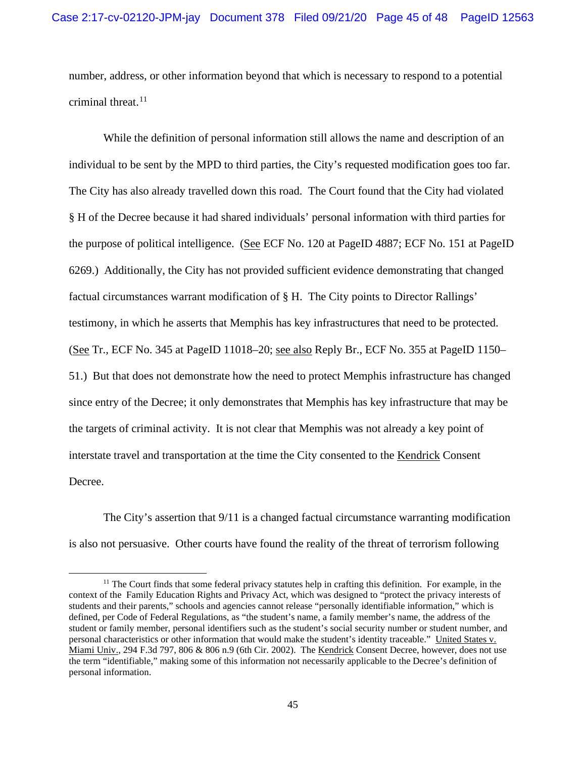number, address, or other information beyond that which is necessary to respond to a potential criminal threat. $11$ 

While the definition of personal information still allows the name and description of an individual to be sent by the MPD to third parties, the City's requested modification goes too far. The City has also already travelled down this road. The Court found that the City had violated § H of the Decree because it had shared individuals' personal information with third parties for the purpose of political intelligence. (See ECF No. 120 at PageID 4887; ECF No. 151 at PageID 6269.) Additionally, the City has not provided sufficient evidence demonstrating that changed factual circumstances warrant modification of § H. The City points to Director Rallings' testimony, in which he asserts that Memphis has key infrastructures that need to be protected. (See Tr., ECF No. 345 at PageID 11018–20; see also Reply Br., ECF No. 355 at PageID 1150– 51.) But that does not demonstrate how the need to protect Memphis infrastructure has changed since entry of the Decree; it only demonstrates that Memphis has key infrastructure that may be the targets of criminal activity. It is not clear that Memphis was not already a key point of interstate travel and transportation at the time the City consented to the Kendrick Consent Decree.

The City's assertion that 9/11 is a changed factual circumstance warranting modification is also not persuasive. Other courts have found the reality of the threat of terrorism following

 $11$  The Court finds that some federal privacy statutes help in crafting this definition. For example, in the context of the Family Education Rights and Privacy Act, which was designed to "protect the privacy interests of students and their parents," schools and agencies cannot release "personally identifiable information," which is defined, per Code of Federal Regulations, as "the student's name, a family member's name, the address of the student or family member, personal identifiers such as the student's social security number or student number, and personal characteristics or other information that would make the student's identity traceable." United States v. Miami Univ., 294 F.3d 797, 806 & 806 n.9 (6th Cir. 2002). The Kendrick Consent Decree, however, does not use the term "identifiable," making some of this information not necessarily applicable to the Decree's definition of personal information.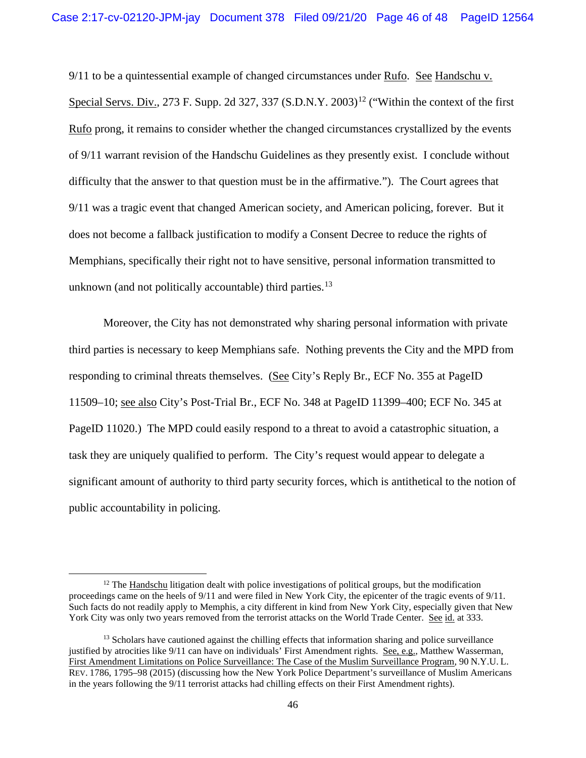9/11 to be a quintessential example of changed circumstances under Rufo. See Handschu v. Special Servs. Div., 273 F. Supp. 2d 327, 337  $(S.D.N.Y. 2003)^{12}$  $(S.D.N.Y. 2003)^{12}$  $(S.D.N.Y. 2003)^{12}$  ("Within the context of the first Rufo prong, it remains to consider whether the changed circumstances crystallized by the events of 9/11 warrant revision of the Handschu Guidelines as they presently exist. I conclude without difficulty that the answer to that question must be in the affirmative."). The Court agrees that 9/11 was a tragic event that changed American society, and American policing, forever. But it does not become a fallback justification to modify a Consent Decree to reduce the rights of Memphians, specifically their right not to have sensitive, personal information transmitted to unknown (and not politically accountable) third parties.<sup>13</sup>

Moreover, the City has not demonstrated why sharing personal information with private third parties is necessary to keep Memphians safe. Nothing prevents the City and the MPD from responding to criminal threats themselves. (See City's Reply Br., ECF No. 355 at PageID 11509–10; see also City's Post-Trial Br., ECF No. 348 at PageID 11399–400; ECF No. 345 at PageID 11020.) The MPD could easily respond to a threat to avoid a catastrophic situation, a task they are uniquely qualified to perform. The City's request would appear to delegate a significant amount of authority to third party security forces, which is antithetical to the notion of public accountability in policing.

<sup>&</sup>lt;sup>12</sup> The Handschu litigation dealt with police investigations of political groups, but the modification proceedings came on the heels of 9/11 and were filed in New York City, the epicenter of the tragic events of 9/11. Such facts do not readily apply to Memphis, a city different in kind from New York City, especially given that New York City was only two years removed from the terrorist attacks on the World Trade Center. See id. at 333.

<span id="page-45-0"></span><sup>&</sup>lt;sup>13</sup> Scholars have cautioned against the chilling effects that information sharing and police surveillance justified by atrocities like 9/11 can have on individuals' First Amendment rights. See, e.g., Matthew Wasserman, First Amendment Limitations on Police Surveillance: The Case of the Muslim Surveillance Program, 90 N.Y.U. L. REV. 1786, 1795–98 (2015) (discussing how the New York Police Department's surveillance of Muslim Americans in the years following the 9/11 terrorist attacks had chilling effects on their First Amendment rights).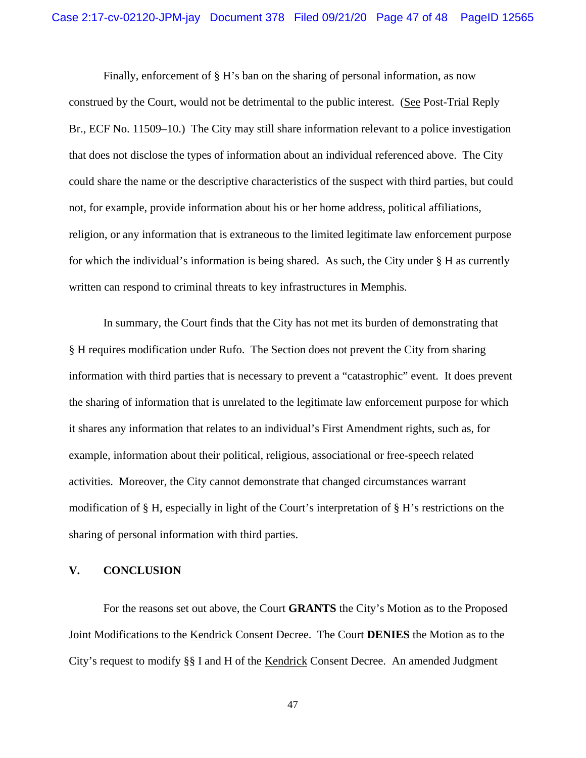Finally, enforcement of § H's ban on the sharing of personal information, as now construed by the Court, would not be detrimental to the public interest. (See Post-Trial Reply Br., ECF No. 11509–10.) The City may still share information relevant to a police investigation that does not disclose the types of information about an individual referenced above. The City could share the name or the descriptive characteristics of the suspect with third parties, but could not, for example, provide information about his or her home address, political affiliations, religion, or any information that is extraneous to the limited legitimate law enforcement purpose for which the individual's information is being shared. As such, the City under § H as currently written can respond to criminal threats to key infrastructures in Memphis.

In summary, the Court finds that the City has not met its burden of demonstrating that § H requires modification under Rufo. The Section does not prevent the City from sharing information with third parties that is necessary to prevent a "catastrophic" event. It does prevent the sharing of information that is unrelated to the legitimate law enforcement purpose for which it shares any information that relates to an individual's First Amendment rights, such as, for example, information about their political, religious, associational or free-speech related activities. Moreover, the City cannot demonstrate that changed circumstances warrant modification of § H, especially in light of the Court's interpretation of § H's restrictions on the sharing of personal information with third parties.

# **V. CONCLUSION**

For the reasons set out above, the Court **GRANTS** the City's Motion as to the Proposed Joint Modifications to the Kendrick Consent Decree. The Court **DENIES** the Motion as to the City's request to modify §§ I and H of the Kendrick Consent Decree. An amended Judgment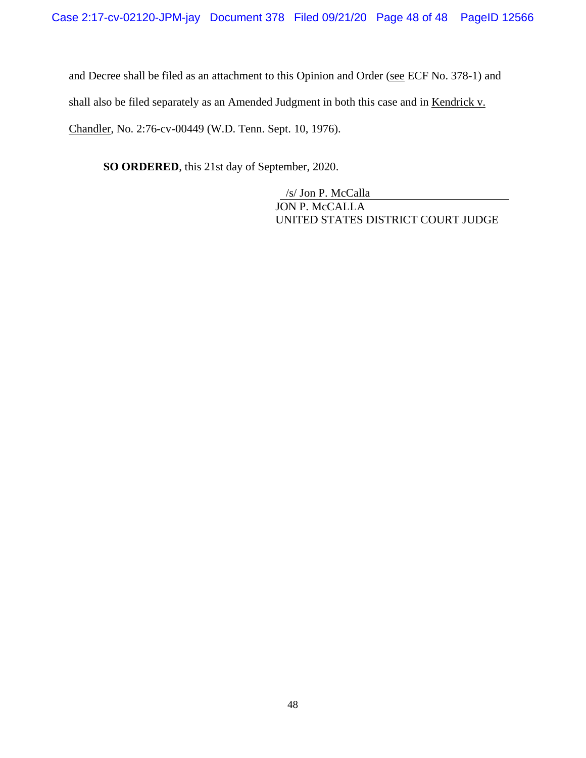and Decree shall be filed as an attachment to this Opinion and Order (see ECF No. 378-1) and shall also be filed separately as an Amended Judgment in both this case and in Kendrick v. Chandler, No. 2:76-cv-00449 (W.D. Tenn. Sept. 10, 1976).

**SO ORDERED**, this 21st day of September, 2020.

/s/ Jon P. McCalla JON P. McCALLA UNITED STATES DISTRICT COURT JUDGE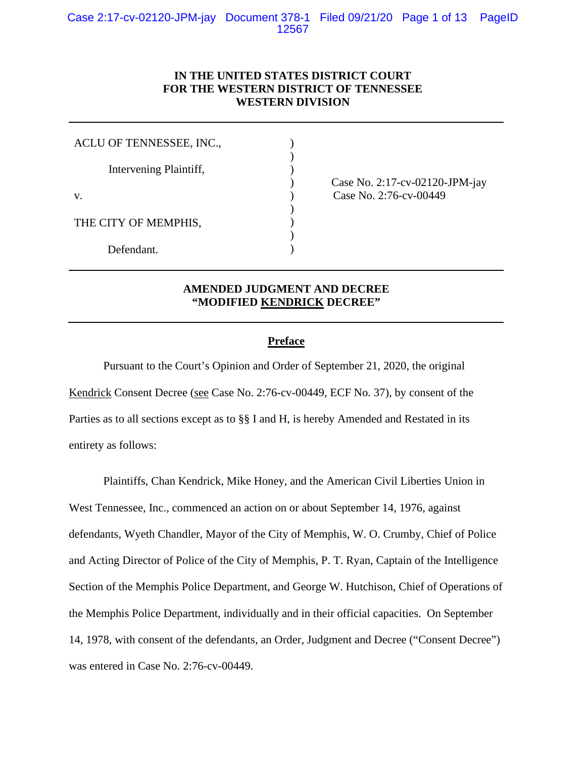# **IN THE UNITED STATES DISTRICT COURT FOR THE WESTERN DISTRICT OF TENNESSEE WESTERN DIVISION**

| ACLU OF TENNESSEE, INC., |  |
|--------------------------|--|
| Intervening Plaintiff,   |  |
| $V_{\cdot}$              |  |
| THE CITY OF MEMPHIS,     |  |
| Defendant.               |  |

) Case No. 2:17-cv-02120-JPM-jay (ase No. 2:76-cv-00449)

# **AMENDED JUDGMENT AND DECREE "MODIFIED KENDRICK DECREE"**

## **Preface**

Pursuant to the Court's Opinion and Order of September 21, 2020, the original Kendrick Consent Decree (see Case No. 2:76-cv-00449, ECF No. 37), by consent of the Parties as to all sections except as to §§ I and H, is hereby Amended and Restated in its entirety as follows:

Plaintiffs, Chan Kendrick, Mike Honey, and the American Civil Liberties Union in West Tennessee, Inc., commenced an action on or about September 14, 1976, against defendants, Wyeth Chandler, Mayor of the City of Memphis, W. O. Crumby, Chief of Police and Acting Director of Police of the City of Memphis, P. T. Ryan, Captain of the Intelligence Section of the Memphis Police Department, and George W. Hutchison, Chief of Operations of the Memphis Police Department, individually and in their official capacities. On September 14, 1978, with consent of the defendants, an Order, Judgment and Decree ("Consent Decree") was entered in Case No. 2:76-cv-00449.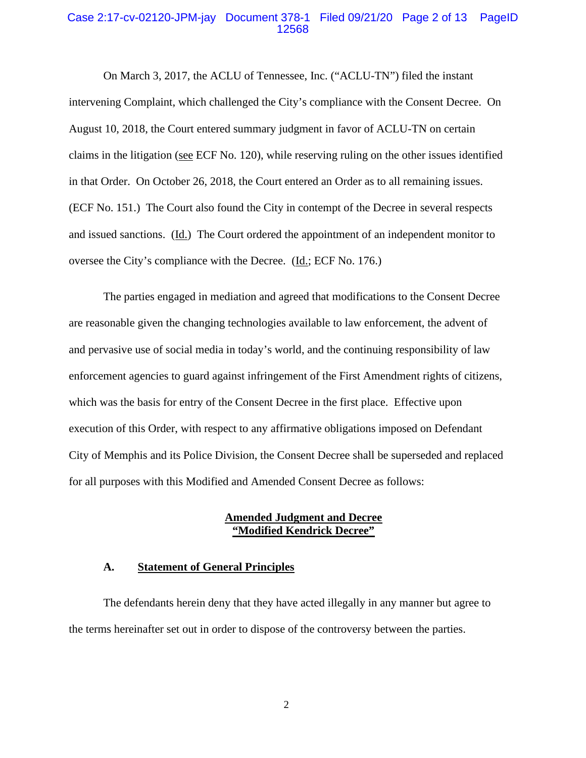## Case 2:17-cv-02120-JPM-jay Document 378-1 Filed 09/21/20 Page 2 of 13 PageID 12568

On March 3, 2017, the ACLU of Tennessee, Inc. ("ACLU-TN") filed the instant intervening Complaint, which challenged the City's compliance with the Consent Decree. On August 10, 2018, the Court entered summary judgment in favor of ACLU-TN on certain claims in the litigation (see ECF No. 120), while reserving ruling on the other issues identified in that Order. On October 26, 2018, the Court entered an Order as to all remaining issues. (ECF No. 151.) The Court also found the City in contempt of the Decree in several respects and issued sanctions. (Id.) The Court ordered the appointment of an independent monitor to oversee the City's compliance with the Decree. (Id.; ECF No. 176.)

The parties engaged in mediation and agreed that modifications to the Consent Decree are reasonable given the changing technologies available to law enforcement, the advent of and pervasive use of social media in today's world, and the continuing responsibility of law enforcement agencies to guard against infringement of the First Amendment rights of citizens, which was the basis for entry of the Consent Decree in the first place. Effective upon execution of this Order, with respect to any affirmative obligations imposed on Defendant City of Memphis and its Police Division, the Consent Decree shall be superseded and replaced for all purposes with this Modified and Amended Consent Decree as follows:

#### **Amended Judgment and Decree "Modified Kendrick Decree"**

#### **A. Statement of General Principles**

The defendants herein deny that they have acted illegally in any manner but agree to the terms hereinafter set out in order to dispose of the controversy between the parties.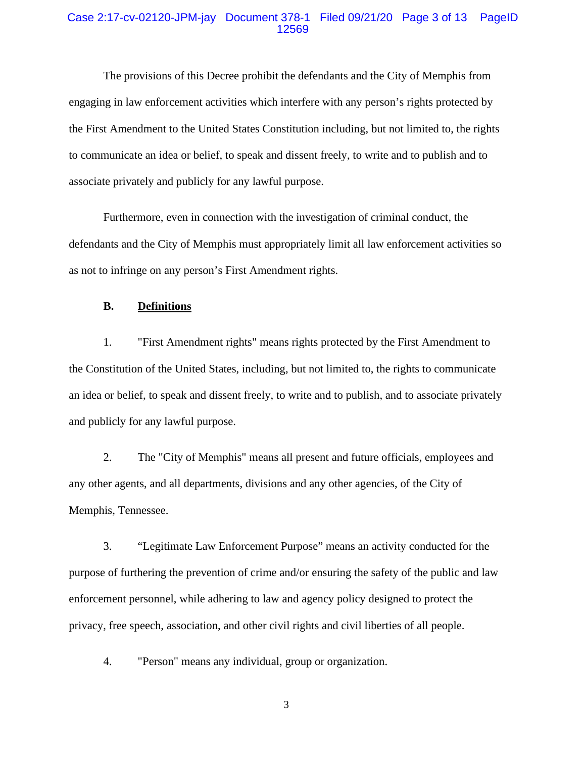## Case 2:17-cv-02120-JPM-jay Document 378-1 Filed 09/21/20 Page 3 of 13 PageID 12569

The provisions of this Decree prohibit the defendants and the City of Memphis from engaging in law enforcement activities which interfere with any person's rights protected by the First Amendment to the United States Constitution including, but not limited to, the rights to communicate an idea or belief, to speak and dissent freely, to write and to publish and to associate privately and publicly for any lawful purpose.

Furthermore, even in connection with the investigation of criminal conduct, the defendants and the City of Memphis must appropriately limit all law enforcement activities so as not to infringe on any person's First Amendment rights.

#### **B. Definitions**

1. "First Amendment rights" means rights protected by the First Amendment to the Constitution of the United States, including, but not limited to, the rights to communicate an idea or belief, to speak and dissent freely, to write and to publish, and to associate privately and publicly for any lawful purpose.

2. The "City of Memphis" means all present and future officials, employees and any other agents, and all departments, divisions and any other agencies, of the City of Memphis, Tennessee.

3. "Legitimate Law Enforcement Purpose" means an activity conducted for the purpose of furthering the prevention of crime and/or ensuring the safety of the public and law enforcement personnel, while adhering to law and agency policy designed to protect the privacy, free speech, association, and other civil rights and civil liberties of all people.

4. "Person" means any individual, group or organization.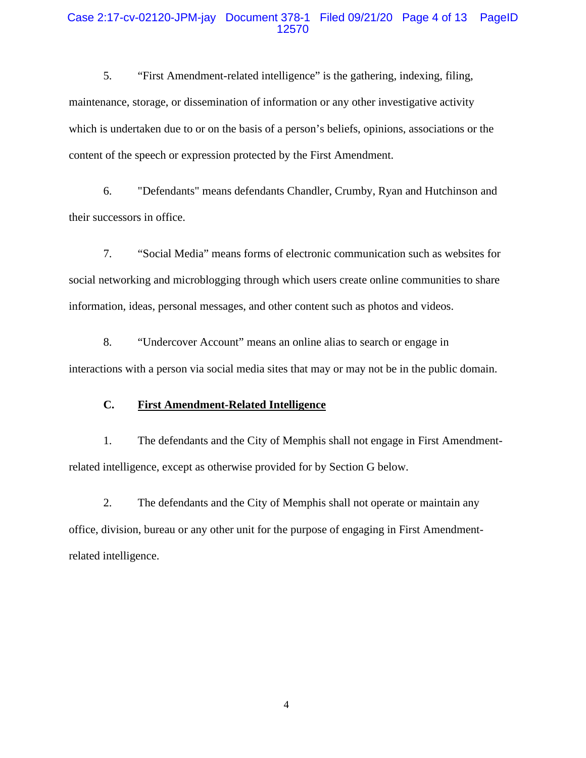## Case 2:17-cv-02120-JPM-jay Document 378-1 Filed 09/21/20 Page 4 of 13 PageID 12570

5. "First Amendment-related intelligence" is the gathering, indexing, filing, maintenance, storage, or dissemination of information or any other investigative activity which is undertaken due to or on the basis of a person's beliefs, opinions, associations or the content of the speech or expression protected by the First Amendment.

6. "Defendants" means defendants Chandler, Crumby, Ryan and Hutchinson and their successors in office.

7. "Social Media" means forms of electronic communication such as websites for social networking and microblogging through which users create online communities to share information, ideas, personal messages, and other content such as photos and videos.

8. "Undercover Account" means an online alias to search or engage in interactions with a person via social media sites that may or may not be in the public domain.

## **C. First Amendment-Related Intelligence**

1. The defendants and the City of Memphis shall not engage in First Amendmentrelated intelligence, except as otherwise provided for by Section G below.

2. The defendants and the City of Memphis shall not operate or maintain any office, division, bureau or any other unit for the purpose of engaging in First Amendmentrelated intelligence.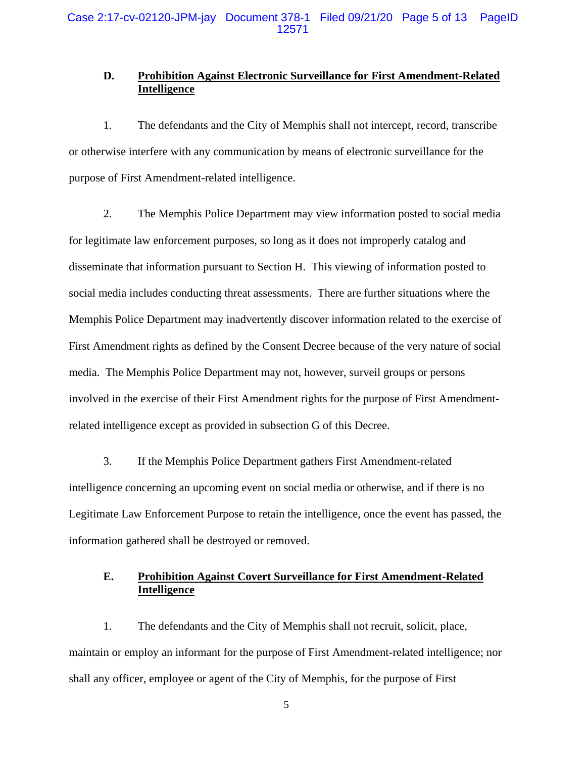# **D. Prohibition Against Electronic Surveillance for First Amendment-Related Intelligence**

1. The defendants and the City of Memphis shall not intercept, record, transcribe or otherwise interfere with any communication by means of electronic surveillance for the purpose of First Amendment-related intelligence.

2. The Memphis Police Department may view information posted to social media for legitimate law enforcement purposes, so long as it does not improperly catalog and disseminate that information pursuant to Section H. This viewing of information posted to social media includes conducting threat assessments. There are further situations where the Memphis Police Department may inadvertently discover information related to the exercise of First Amendment rights as defined by the Consent Decree because of the very nature of social media. The Memphis Police Department may not, however, surveil groups or persons involved in the exercise of their First Amendment rights for the purpose of First Amendmentrelated intelligence except as provided in subsection G of this Decree.

3. If the Memphis Police Department gathers First Amendment-related intelligence concerning an upcoming event on social media or otherwise, and if there is no Legitimate Law Enforcement Purpose to retain the intelligence, once the event has passed, the information gathered shall be destroyed or removed.

# **E. Prohibition Against Covert Surveillance for First Amendment-Related Intelligence**

1. The defendants and the City of Memphis shall not recruit, solicit, place, maintain or employ an informant for the purpose of First Amendment-related intelligence; nor shall any officer, employee or agent of the City of Memphis, for the purpose of First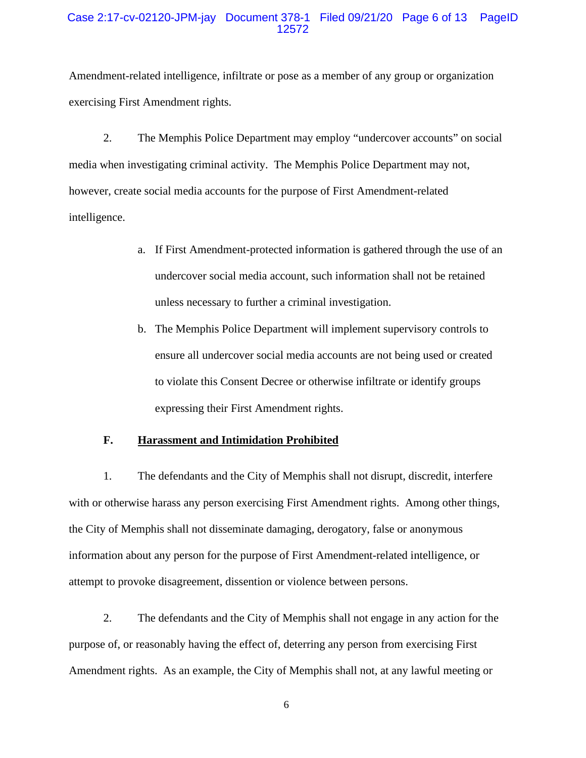## Case 2:17-cv-02120-JPM-jay Document 378-1 Filed 09/21/20 Page 6 of 13 PageID 12572

Amendment-related intelligence, infiltrate or pose as a member of any group or organization exercising First Amendment rights.

2. The Memphis Police Department may employ "undercover accounts" on social media when investigating criminal activity. The Memphis Police Department may not, however, create social media accounts for the purpose of First Amendment-related intelligence.

- a. If First Amendment-protected information is gathered through the use of an undercover social media account, such information shall not be retained unless necessary to further a criminal investigation.
- b. The Memphis Police Department will implement supervisory controls to ensure all undercover social media accounts are not being used or created to violate this Consent Decree or otherwise infiltrate or identify groups expressing their First Amendment rights.

#### **F. Harassment and Intimidation Prohibited**

1. The defendants and the City of Memphis shall not disrupt, discredit, interfere with or otherwise harass any person exercising First Amendment rights. Among other things, the City of Memphis shall not disseminate damaging, derogatory, false or anonymous information about any person for the purpose of First Amendment-related intelligence, or attempt to provoke disagreement, dissention or violence between persons.

2. The defendants and the City of Memphis shall not engage in any action for the purpose of, or reasonably having the effect of, deterring any person from exercising First Amendment rights. As an example, the City of Memphis shall not, at any lawful meeting or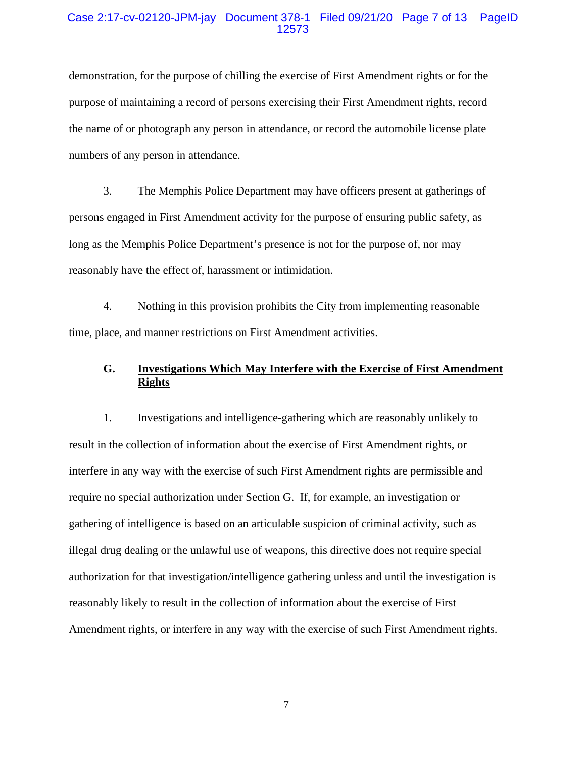## Case 2:17-cv-02120-JPM-jay Document 378-1 Filed 09/21/20 Page 7 of 13 PageID 12573

demonstration, for the purpose of chilling the exercise of First Amendment rights or for the purpose of maintaining a record of persons exercising their First Amendment rights, record the name of or photograph any person in attendance, or record the automobile license plate numbers of any person in attendance.

3. The Memphis Police Department may have officers present at gatherings of persons engaged in First Amendment activity for the purpose of ensuring public safety, as long as the Memphis Police Department's presence is not for the purpose of, nor may reasonably have the effect of, harassment or intimidation.

4. Nothing in this provision prohibits the City from implementing reasonable time, place, and manner restrictions on First Amendment activities.

# **G. Investigations Which May Interfere with the Exercise of First Amendment Rights**

1. Investigations and intelligence-gathering which are reasonably unlikely to result in the collection of information about the exercise of First Amendment rights, or interfere in any way with the exercise of such First Amendment rights are permissible and require no special authorization under Section G. If, for example, an investigation or gathering of intelligence is based on an articulable suspicion of criminal activity, such as illegal drug dealing or the unlawful use of weapons, this directive does not require special authorization for that investigation/intelligence gathering unless and until the investigation is reasonably likely to result in the collection of information about the exercise of First Amendment rights, or interfere in any way with the exercise of such First Amendment rights.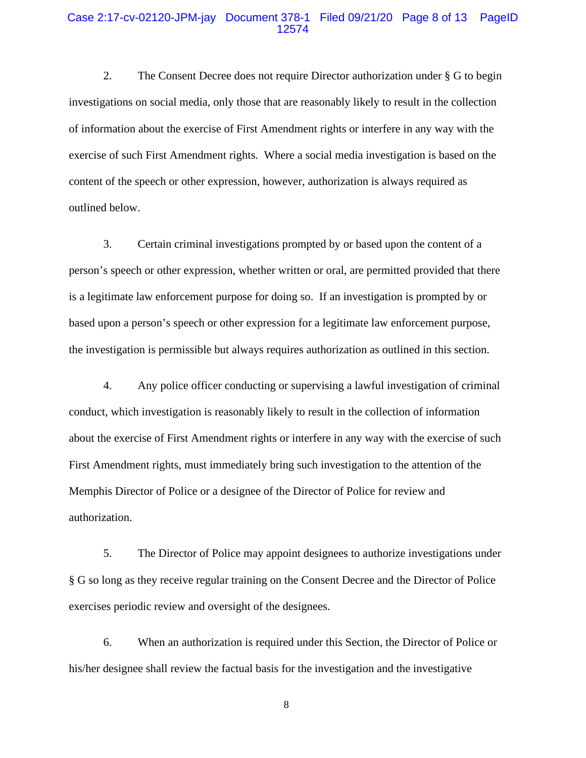### Case 2:17-cv-02120-JPM-jay Document 378-1 Filed 09/21/20 Page 8 of 13 PageID 12574

2. The Consent Decree does not require Director authorization under § G to begin investigations on social media, only those that are reasonably likely to result in the collection of information about the exercise of First Amendment rights or interfere in any way with the exercise of such First Amendment rights. Where a social media investigation is based on the content of the speech or other expression, however, authorization is always required as outlined below.

3. Certain criminal investigations prompted by or based upon the content of a person's speech or other expression, whether written or oral, are permitted provided that there is a legitimate law enforcement purpose for doing so. If an investigation is prompted by or based upon a person's speech or other expression for a legitimate law enforcement purpose, the investigation is permissible but always requires authorization as outlined in this section.

4. Any police officer conducting or supervising a lawful investigation of criminal conduct, which investigation is reasonably likely to result in the collection of information about the exercise of First Amendment rights or interfere in any way with the exercise of such First Amendment rights, must immediately bring such investigation to the attention of the Memphis Director of Police or a designee of the Director of Police for review and authorization.

5. The Director of Police may appoint designees to authorize investigations under § G so long as they receive regular training on the Consent Decree and the Director of Police exercises periodic review and oversight of the designees.

6. When an authorization is required under this Section, the Director of Police or his/her designee shall review the factual basis for the investigation and the investigative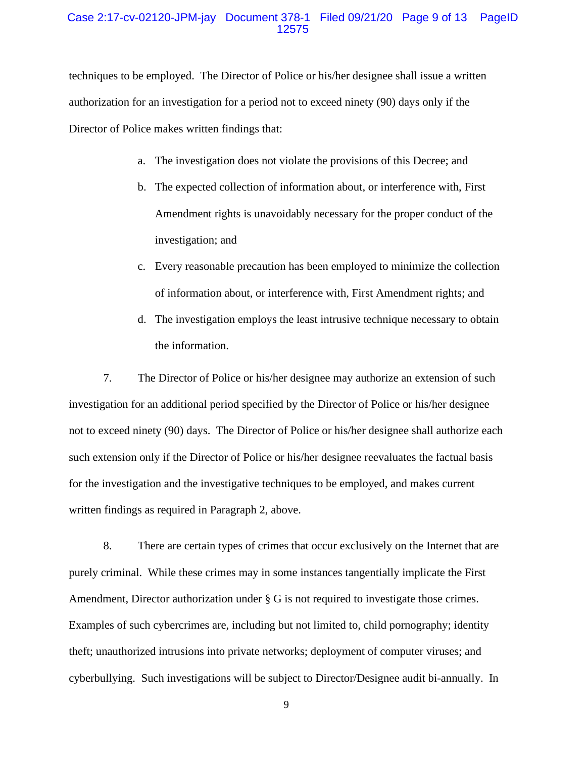## Case 2:17-cv-02120-JPM-jay Document 378-1 Filed 09/21/20 Page 9 of 13 PageID 12575

techniques to be employed. The Director of Police or his/her designee shall issue a written authorization for an investigation for a period not to exceed ninety (90) days only if the Director of Police makes written findings that:

- a. The investigation does not violate the provisions of this Decree; and
- b. The expected collection of information about, or interference with, First Amendment rights is unavoidably necessary for the proper conduct of the investigation; and
- c. Every reasonable precaution has been employed to minimize the collection of information about, or interference with, First Amendment rights; and
- d. The investigation employs the least intrusive technique necessary to obtain the information.

7. The Director of Police or his/her designee may authorize an extension of such investigation for an additional period specified by the Director of Police or his/her designee not to exceed ninety (90) days. The Director of Police or his/her designee shall authorize each such extension only if the Director of Police or his/her designee reevaluates the factual basis for the investigation and the investigative techniques to be employed, and makes current written findings as required in Paragraph 2, above.

8. There are certain types of crimes that occur exclusively on the Internet that are purely criminal. While these crimes may in some instances tangentially implicate the First Amendment, Director authorization under § G is not required to investigate those crimes. Examples of such cybercrimes are, including but not limited to, child pornography; identity theft; unauthorized intrusions into private networks; deployment of computer viruses; and cyberbullying. Such investigations will be subject to Director/Designee audit bi-annually. In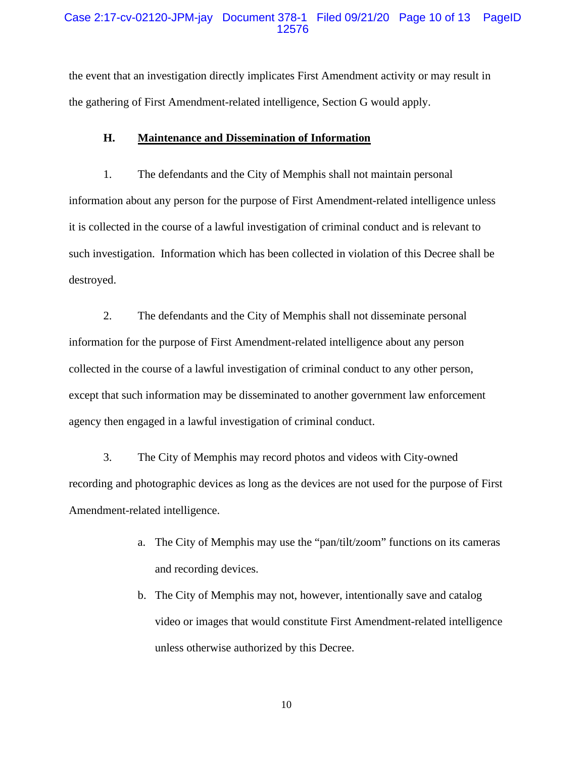#### Case 2:17-cv-02120-JPM-jay Document 378-1 Filed 09/21/20 Page 10 of 13 PageID 12576

the event that an investigation directly implicates First Amendment activity or may result in the gathering of First Amendment-related intelligence, Section G would apply.

# **H. Maintenance and Dissemination of Information**

1. The defendants and the City of Memphis shall not maintain personal information about any person for the purpose of First Amendment-related intelligence unless it is collected in the course of a lawful investigation of criminal conduct and is relevant to such investigation. Information which has been collected in violation of this Decree shall be destroyed.

2. The defendants and the City of Memphis shall not disseminate personal information for the purpose of First Amendment-related intelligence about any person collected in the course of a lawful investigation of criminal conduct to any other person, except that such information may be disseminated to another government law enforcement agency then engaged in a lawful investigation of criminal conduct.

3. The City of Memphis may record photos and videos with City-owned recording and photographic devices as long as the devices are not used for the purpose of First Amendment-related intelligence.

- a. The City of Memphis may use the "pan/tilt/zoom" functions on its cameras and recording devices.
- b. The City of Memphis may not, however, intentionally save and catalog video or images that would constitute First Amendment-related intelligence unless otherwise authorized by this Decree.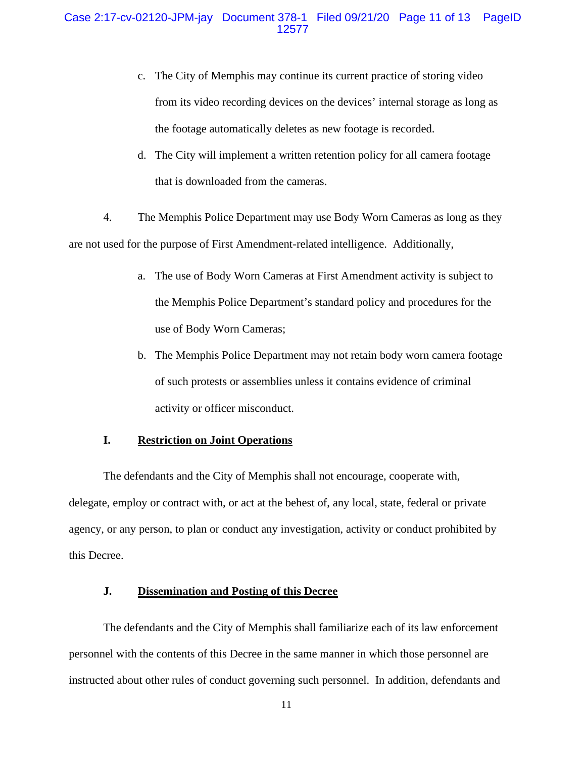- c. The City of Memphis may continue its current practice of storing video from its video recording devices on the devices' internal storage as long as the footage automatically deletes as new footage is recorded.
- d. The City will implement a written retention policy for all camera footage that is downloaded from the cameras.

4. The Memphis Police Department may use Body Worn Cameras as long as they are not used for the purpose of First Amendment-related intelligence. Additionally,

- a. The use of Body Worn Cameras at First Amendment activity is subject to the Memphis Police Department's standard policy and procedures for the use of Body Worn Cameras;
- b. The Memphis Police Department may not retain body worn camera footage of such protests or assemblies unless it contains evidence of criminal activity or officer misconduct.

#### **I. Restriction on Joint Operations**

The defendants and the City of Memphis shall not encourage, cooperate with, delegate, employ or contract with, or act at the behest of, any local, state, federal or private agency, or any person, to plan or conduct any investigation, activity or conduct prohibited by this Decree.

# **J. Dissemination and Posting of this Decree**

The defendants and the City of Memphis shall familiarize each of its law enforcement personnel with the contents of this Decree in the same manner in which those personnel are instructed about other rules of conduct governing such personnel. In addition, defendants and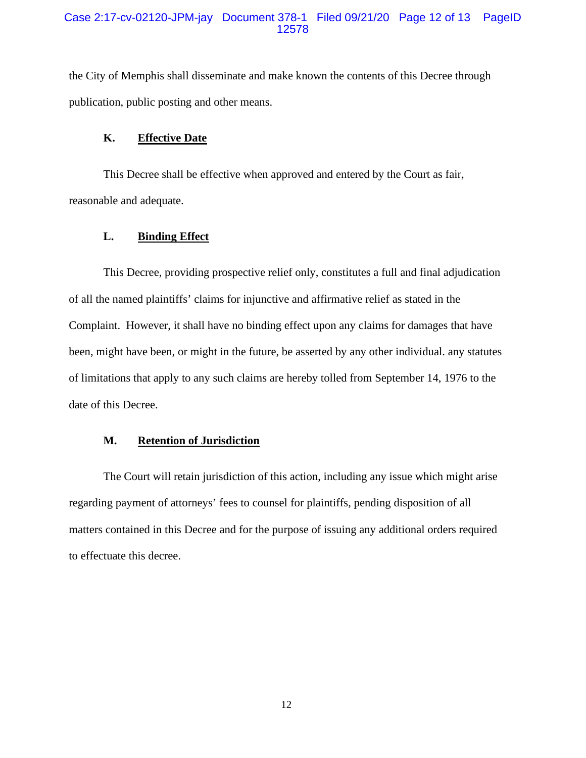the City of Memphis shall disseminate and make known the contents of this Decree through publication, public posting and other means.

#### **K. Effective Date**

This Decree shall be effective when approved and entered by the Court as fair, reasonable and adequate.

# **L. Binding Effect**

This Decree, providing prospective relief only, constitutes a full and final adjudication of all the named plaintiffs' claims for injunctive and affirmative relief as stated in the Complaint. However, it shall have no binding effect upon any claims for damages that have been, might have been, or might in the future, be asserted by any other individual. any statutes of limitations that apply to any such claims are hereby tolled from September 14, 1976 to the date of this Decree.

#### **M. Retention of Jurisdiction**

The Court will retain jurisdiction of this action, including any issue which might arise regarding payment of attorneys' fees to counsel for plaintiffs, pending disposition of all matters contained in this Decree and for the purpose of issuing any additional orders required to effectuate this decree.